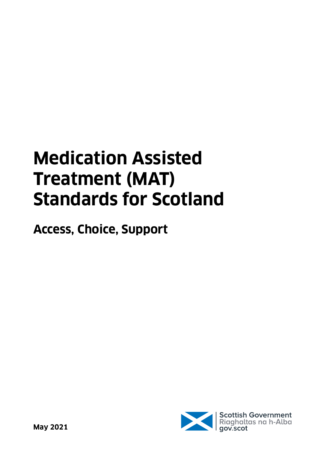# **Medication Assisted Treatment (MAT) Standards for Scotland**

**Access, Choice, Support**

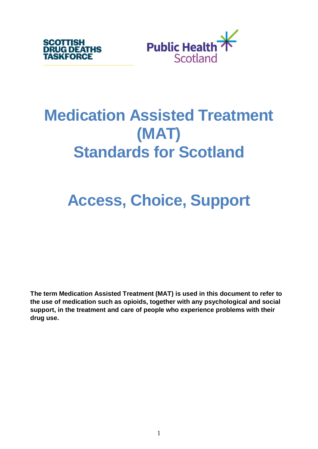



## **Medication Assisted Treatment (MAT) Standards for Scotland**

## **Access, Choice, Support**

**The term Medication Assisted Treatment (MAT) is used in this document to refer to the use of medication such as opioids, together with any psychological and social support, in the treatment and care of people who experience problems with their drug use.**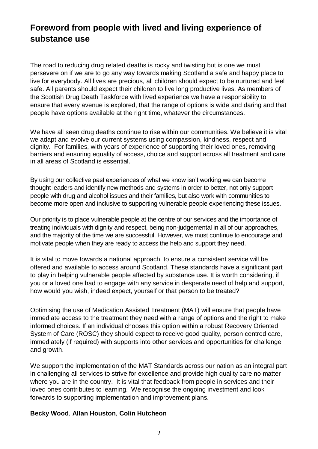## **Foreword from people with lived and living experience of substance use**

The road to reducing drug related deaths is rocky and twisting but is one we must persevere on if we are to go any way towards making Scotland a safe and happy place to live for everybody. All lives are precious, all children should expect to be nurtured and feel safe. All parents should expect their children to live long productive lives. As members of the Scottish Drug Death Taskforce with lived experience we have a responsibility to ensure that every avenue is explored, that the range of options is wide and daring and that people have options available at the right time, whatever the circumstances.

We have all seen drug deaths continue to rise within our communities. We believe it is vital we adapt and evolve our current systems using compassion, kindness, respect and dignity. For families, with years of experience of supporting their loved ones, removing barriers and ensuring equality of access, choice and support across all treatment and care in all areas of Scotland is essential.

By using our collective past experiences of what we know isn't working we can become thought leaders and identify new methods and systems in order to better, not only support people with drug and alcohol issues and their families, but also work with communities to become more open and inclusive to supporting vulnerable people experiencing these issues.

Our priority is to place vulnerable people at the centre of our services and the importance of treating individuals with dignity and respect, being non-judgemental in all of our approaches, and the majority of the time we are successful. However, we must continue to encourage and motivate people when they are ready to access the help and support they need.

It is vital to move towards a national approach, to ensure a consistent service will be offered and available to access around Scotland. These standards have a significant part to play in helping vulnerable people affected by substance use. It is worth considering, if you or a loved one had to engage with any service in desperate need of help and support, how would you wish, indeed expect, yourself or that person to be treated?

Optimising the use of Medication Assisted Treatment (MAT) will ensure that people have immediate access to the treatment they need with a range of options and the right to make informed choices. If an individual chooses this option within a robust Recovery Oriented System of Care (ROSC) they should expect to receive good quality, person centred care, immediately (if required) with supports into other services and opportunities for challenge and growth.

We support the implementation of the MAT Standards across our nation as an integral part in challenging all services to strive for excellence and provide high quality care no matter where you are in the country. It is vital that feedback from people in services and their loved ones contributes to learning. We recognise the ongoing investment and look forwards to supporting implementation and improvement plans.

#### **Becky Wood**, **Allan Houston**, **Colin Hutcheon**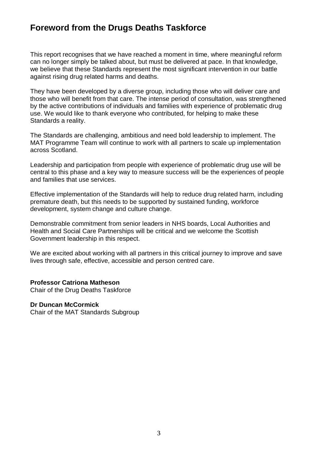## **Foreword from the Drugs Deaths Taskforce**

This report recognises that we have reached a moment in time, where meaningful reform can no longer simply be talked about, but must be delivered at pace. In that knowledge, we believe that these Standards represent the most significant intervention in our battle against rising drug related harms and deaths.

They have been developed by a diverse group, including those who will deliver care and those who will benefit from that care. The intense period of consultation, was strengthened by the active contributions of individuals and families with experience of problematic drug use. We would like to thank everyone who contributed, for helping to make these Standards a reality.

The Standards are challenging, ambitious and need bold leadership to implement. The MAT Programme Team will continue to work with all partners to scale up implementation across Scotland.

Leadership and participation from people with experience of problematic drug use will be central to this phase and a key way to measure success will be the experiences of people and families that use services.

Effective implementation of the Standards will help to reduce drug related harm, including premature death, but this needs to be supported by sustained funding, workforce development, system change and culture change.

Demonstrable commitment from senior leaders in NHS boards, Local Authorities and Health and Social Care Partnerships will be critical and we welcome the Scottish Government leadership in this respect.

We are excited about working with all partners in this critical journey to improve and save lives through safe, effective, accessible and person centred care.

#### **Professor Catriona Matheson**

Chair of the Drug Deaths Taskforce

#### **Dr Duncan McCormick**

Chair of the MAT Standards Subgroup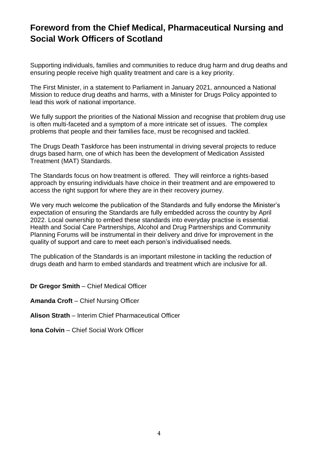## **Foreword from the Chief Medical, Pharmaceutical Nursing and Social Work Officers of Scotland**

Supporting individuals, families and communities to reduce drug harm and drug deaths and ensuring people receive high quality treatment and care is a key priority.

The First Minister, in a statement to Parliament in January 2021, announced a National Mission to reduce drug deaths and harms, with a Minister for Drugs Policy appointed to lead this work of national importance.

We fully support the priorities of the National Mission and recognise that problem drug use is often multi-faceted and a symptom of a more intricate set of issues. The complex problems that people and their families face, must be recognised and tackled.

The Drugs Death Taskforce has been instrumental in driving several projects to reduce drugs based harm, one of which has been the development of Medication Assisted Treatment (MAT) Standards.

The Standards focus on how treatment is offered. They will reinforce a rights-based approach by ensuring individuals have choice in their treatment and are empowered to access the right support for where they are in their recovery journey.

We very much welcome the publication of the Standards and fully endorse the Minister's expectation of ensuring the Standards are fully embedded across the country by April 2022. Local ownership to embed these standards into everyday practise is essential. Health and Social Care Partnerships, Alcohol and Drug Partnerships and Community Planning Forums will be instrumental in their delivery and drive for improvement in the quality of support and care to meet each person's individualised needs.

The publication of the Standards is an important milestone in tackling the reduction of drugs death and harm to embed standards and treatment which are inclusive for all.

**Dr Gregor Smith** – Chief Medical Officer

**Amanda Croft** – Chief Nursing Officer

- **Alison Strath** Interim Chief Pharmaceutical Officer
- **Iona Colvin** Chief Social Work Officer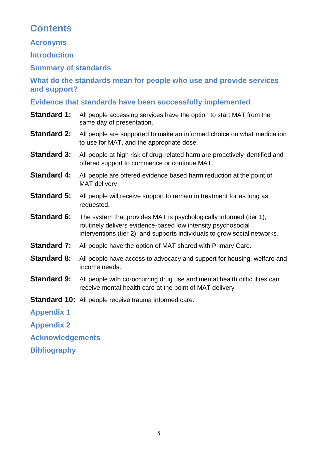## **Contents**

**Acronyms**

**[Introduction](#page-6-0)**

**[Summary of standards](#page-7-0)**

**[What do the standards mean for people who use and provide services](#page-7-1)  [and support?](#page-7-1)**

#### **[Evidence that standards have been successfully implemented](#page-11-0)**

- **Standard 1:** All people accessing services have the option to start MAT from the same [day of presentation.](#page-14-0)
- **Standard 2:** All people are supported to make an informed choice on what medication [to use for MAT, and the appropriate dose.](#page-16-0)
- **Standard 3:** All people at high risk of drug-related harm are proactively identified and [offered support to commence or continue MAT.](#page-18-0)
- **Standard 4:** All people are offered evidence based harm reduction at the point of [MAT delivery](#page-20-0)
- **Standard 5:** All people will receive support to remain in treatment for as long as [requested.](#page-22-0)
- **Standard 6:** The system that provides MAT is psychologically informed (tier 1); [routinely delivers evidence-based low intensity psychosocial](#page-24-0)  [interventions \(tier 2\); and supports individuals to grow social networks.](#page-24-0)
- **Standard 7:** [All people have the option of MAT shared with Primary Care.](#page-26-0)
- **Standard 8:** All people have access to advocacy and support for housing, welfare and [income needs.](#page-27-0)
- **Standard 9:** All people with co-occurring drug use and mental health difficulties can [receive mental health care at the point of MAT delivery](#page-29-0)
- **Standard 10:** [All people receive trauma informed care.](#page-31-0)

**[Appendix 1](#page-33-0)**

**[Appendix 2](#page-36-0)**

**[Acknowledgements](#page-45-0)**

**[Bibliography](#page-47-0)**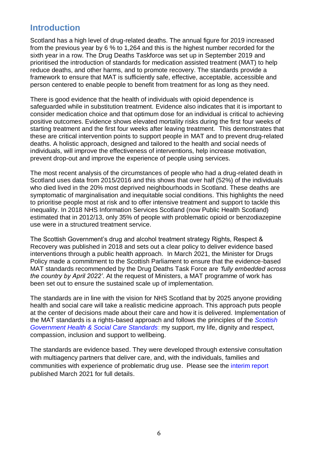## <span id="page-6-0"></span>**Introduction**

Scotland has a high level of drug-related deaths. The annual figure for 2019 increased from the previous year by 6 % to 1,264 and this is the highest number recorded for the sixth year in a row. The Drug Deaths Taskforce was set up in September 2019 and prioritised the introduction of standards for medication assisted treatment (MAT) to help reduce deaths, and other harms, and to promote recovery. The standards provide a framework to ensure that MAT is sufficiently safe, effective, acceptable, accessible and person centered to enable people to benefit from treatment for as long as they need.

There is good evidence that the health of individuals with opioid dependence is safeguarded while in substitution treatment. Evidence also indicates that it is important to consider medication choice and that optimum dose for an individual is critical to achieving positive outcomes. Evidence shows elevated mortality risks during the first four weeks of starting treatment and the first four weeks after leaving treatment. This demonstrates that these are critical intervention points to support people in MAT and to prevent drug-related deaths. A holistic approach, designed and tailored to the health and social needs of individuals, will improve the effectiveness of interventions, help increase motivation, prevent drop-out and improve the experience of people using services.

The most recent analysis of the circumstances of people who had a drug-related death in Scotland uses data from 2015/2016 and this shows that over half (52%) of the individuals who died lived in the 20% most deprived neighbourhoods in Scotland. These deaths are symptomatic of marginalisation and inequitable social conditions. This highlights the need to prioritise people most at risk and to offer intensive treatment and support to tackle this inequality. In 2018 NHS Information Services Scotland (now Public Health Scotland) estimated that in 2012/13, only 35% of people with problematic opioid or benzodiazepine use were in a structured treatment service.

The Scottish Government's drug and alcohol treatment strategy Rights, Respect & Recovery was published in 2018 and sets out a clear policy to deliver evidence based interventions through a public health approach. In March 2021, the Minister for Drugs Policy made a commitment to the Scottish Parliament to ensure that the evidence-based MAT standards recommended by the Drug Deaths Task Force are *'fully embedded across the country by April 2022'*. At the request of Ministers, a MAT programme of work has been set out to ensure the sustained scale up of implementation.

The standards are in line with the vision for NHS Scotland that by 2025 anyone providing health and social care will take a realistic medicine approach. This approach puts people at the center of decisions made about their care and how it is delivered. Implementation of the MAT standards is a rights-based approach and follows the principles of the *[Scottish](https://www.gov.scot/publications/health-social-care-standards-support-life/)  [Government Health & Social Care Standards](https://www.gov.scot/publications/health-social-care-standards-support-life/)*: my support, my life, dignity and respect, compassion, inclusion [and support to wellbeing.](https://www.gov.scot/publications/health-social-care-standards-support-life/) 

The standards are evidence based. They were developed through extensive consultation with multiagency partners that deliver care, and, with the individuals, families and communities with experience of problematic drug use. Please see the [interim report](https://drugdeathstaskforce.scot/media/1207/mat-subgroup-interim-report-on-programme-to-date_mar21.pdf) published March 2021 for full details.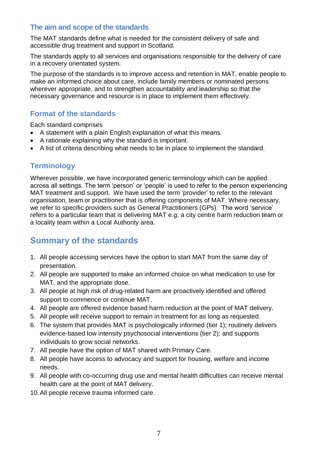#### <span id="page-7-1"></span>**The aim and scope of the standards**

The MAT standards define what is needed for the consistent delivery of safe and accessible drug treatment and support in Scotland.

The standards apply to all services and organisations responsible for the delivery of care in a recovery orientated system.

The purpose of the standards is to improve access and retention in MAT, enable people to make an informed choice about care, include family members or nominated persons wherever appropriate, and to strengthen accountability and leadership so that the necessary governance and resource is in place to implement them effectively.

#### **Format of the standards**

Each standard comprises

- A statement with a plain English explanation of what this means.
- A rationale explaining why the standard is important.
- A list of criteria describing what needs to be in place to implement the standard.

## **Terminology**

Wherever possible, we have incorporated generic terminology which can be applied across all settings. The term 'person' or 'people' is used to refer to the person experiencing MAT treatment and support. We have used the term 'provider' to refer to the relevant organisation, team or practitioner that is offering components of MAT. Where necessary, we refer to specific providers such as General Practitioners (GPs). The word 'service' refers to a particular team that is delivering MAT e.g. a city centre harm reduction team or a locality team within a Local Authority area.

## <span id="page-7-0"></span>**Summary of the standards**

- 1. [All people accessing services have the option to start MAT from the same day of](#page-14-0)  [presentation.](#page-14-0)
- 2. [All people are supported to make an informed choice on what medication to use for](#page-16-0)  MAT, [and the appropriate dose.](#page-16-0)
- 3. All people at [high risk of drug-related harm are proactively identified and](#page-18-0) offered [support to commence or continue MAT.](#page-18-0)
- 4. All people are offered evidence [based harm reduction at the point of MAT delivery.](#page-20-0)
- 5. [All people will receive support to remain in treatment for as long as requested.](#page-22-0)
- 6. [The system that provides MAT is psychologically informed \(tier 1\); routinely delivers](#page-24-0)  [evidence-based low intensity psychosocial interventions \(tier 2\); and supports](#page-24-0)  [individuals to grow social networks.](#page-24-0)
- 7. [All people have the option of MAT shared with Primary Care.](#page-26-0)
- 8. All [people have access to advocacy and support for housing, welfare and income](#page-27-0)  [needs.](#page-27-0)
- 9. [All people with co-occurring drug use and mental health difficulties can receive mental](#page-29-0)  [health care at the point of MAT delivery.](#page-29-0)
- 10[.All people receive trauma](#page-31-0) informed care.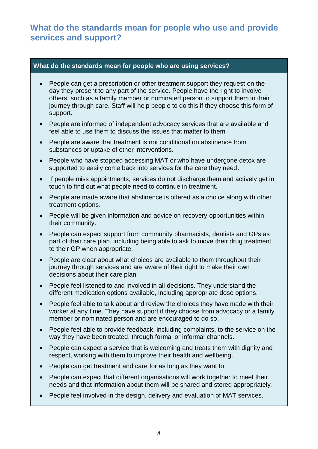## **What do the standards mean for people who use and provide services and support?**

#### **What do the standards mean for people who are using services?**

- People can get a prescription or other treatment support they request on the day they present to any part of the service. People have the right to involve others, such as a family member or nominated person to support them in their journey through care. Staff will help people to do this if they choose this form of support.
- People are informed of independent advocacy services that are available and feel able to use them to discuss the issues that matter to them.
- People are aware that treatment is not conditional on abstinence from substances or uptake of other interventions.
- People who have stopped accessing MAT or who have undergone detox are supported to easily come back into services for the care they need.
- If people miss appointments, services do not discharge them and actively get in touch to find out what people need to continue in treatment.
- People are made aware that abstinence is offered as a choice along with other treatment options.
- People will be given information and advice on recovery opportunities within their community.
- People can expect support from community pharmacists, dentists and GPs as part of their care plan, including being able to ask to move their drug treatment to their GP when appropriate.
- People are clear about what choices are available to them throughout their journey through services and are aware of their right to make their own decisions about their care plan.
- People feel listened to and involved in all decisions. They understand the different medication options available, including appropriate dose options.
- People feel able to talk about and review the choices they have made with their worker at any time. They have support if they choose from advocacy or a family member or nominated person and are encouraged to do so.
- People feel able to provide feedback, including complaints, to the service on the way they have been treated, through formal or informal channels.
- People can expect a service that is welcoming and treats them with dignity and respect, working with them to improve their health and wellbeing.
- People can get treatment and care for as long as they want to.
- People can expect that different organisations will work together to meet their needs and that information about them will be shared and stored appropriately.
- People feel involved in the design, delivery and evaluation of MAT services.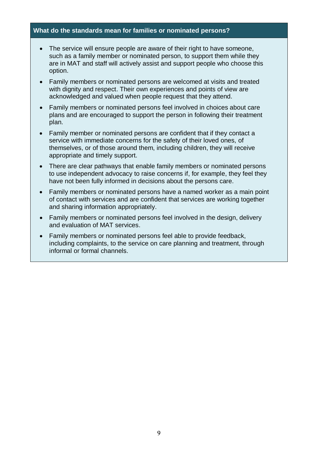#### **What do the standards mean for families or nominated persons?**

- The service will ensure people are aware of their right to have someone, such as a family member or nominated person, to support them while they are in MAT and staff will actively assist and support people who choose this option.
- Family members or nominated persons are welcomed at visits and treated with dignity and respect. Their own experiences and points of view are acknowledged and valued when people request that they attend.
- Family members or nominated persons feel involved in choices about care plans and are encouraged to support the person in following their treatment plan.
- Family member or nominated persons are confident that if they contact a service with immediate concerns for the safety of their loved ones, of themselves, or of those around them, including children, they will receive appropriate and timely support.
- There are clear pathways that enable family members or nominated persons to use independent advocacy to raise concerns if, for example, they feel they have not been fully informed in decisions about the persons care.
- Family members or nominated persons have a named worker as a main point of contact with services and are confident that services are working together and sharing information appropriately.
- Family members or nominated persons feel involved in the design, delivery and evaluation of MAT services.
- Family members or nominated persons feel able to provide feedback, including complaints, to the service on care planning and treatment, through informal or formal channels.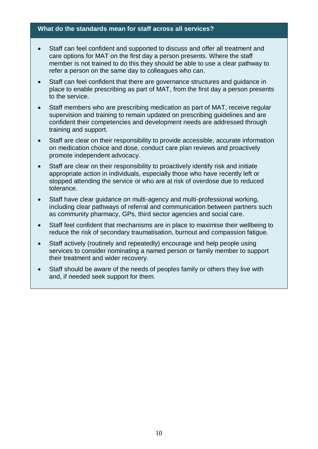#### **What do the standards mean for staff across all services?**

- Staff can feel confident and supported to discuss and offer all treatment and care options for MAT on the first day a person presents. Where the staff member is not trained to do this they should be able to use a clear pathway to refer a person on the same day to colleagues who can.
- Staff can feel confident that there are governance structures and guidance in place to enable prescribing as part of MAT, from the first day a person presents to the service.
- Staff members who are prescribing medication as part of MAT, receive regular supervision and training to remain updated on prescribing guidelines and are confident their competencies and development needs are addressed through training and support.
- Staff are clear on their responsibility to provide accessible, accurate information on medication choice and dose, conduct care plan reviews and proactively promote independent advocacy.
- Staff are clear on their responsibility to proactively identify risk and initiate appropriate action in individuals, especially those who have recently left or stopped attending the service or who are at risk of overdose due to reduced tolerance.
- Staff have clear guidance on multi-agency and multi-professional working, including clear pathways of referral and communication between partners such as community pharmacy, GPs, third sector agencies and social care.
- Staff feel confident that mechanisms are in place to maximise their wellbeing to reduce the risk of secondary traumatisation, burnout and compassion fatigue.
- Staff actively (routinely and repeatedly) encourage and help people using services to consider nominating a named person or family member to support their treatment and wider recovery.
- Staff should be aware of the needs of peoples family or others they live with and, if needed seek support for them.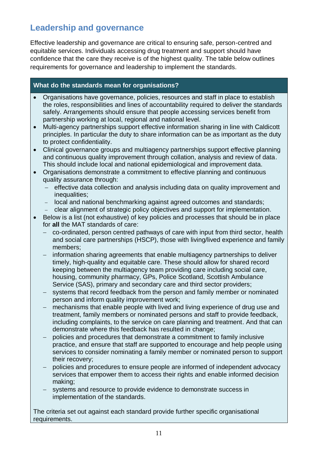## <span id="page-11-0"></span>**Leadership and governance**

Effective leadership and governance are critical to ensuring safe, person-centred and equitable services. Individuals accessing drug treatment and support should have confidence that the care they receive is of the highest quality. The table below outlines requirements for governance and leadership to implement the standards.

#### **What do the standards mean for organisations?**

- Organisations have governance, policies, resources and staff in place to establish the roles, responsibilities and lines of accountability required to deliver the standards safely. Arrangements should ensure that people accessing services benefit from partnership working at local, regional and national level.
- Multi-agency partnerships support effective information sharing in line with Caldicott principles. In particular the duty to share information can be as important as the duty to protect confidentiality.
- Clinical governance groups and multiagency partnerships support effective planning and continuous quality improvement through collation, analysis and review of data. This should include local and national epidemiological and improvement data.
- Organisations demonstrate a commitment to effective planning and continuous quality assurance through:
	- − effective data collection and analysis including data on quality improvement and inequalities:
	- − local and national benchmarking against agreed outcomes and standards;
	- − clear alignment of strategic policy objectives and support for implementation.
- Below is a list (not exhaustive) of key policies and processes that should be in place for **all** the MAT standards of care:
	- − co-ordinated, person centred pathways of care with input from third sector, health and social care partnerships (HSCP), those with living/lived experience and family members;
	- − information sharing agreements that enable multiagency partnerships to deliver timely, high-quality and equitable care. These should allow for shared record keeping between the multiagency team providing care including social care, housing, community pharmacy, GPs, Police Scotland, Scottish Ambulance Service (SAS), primary and secondary care and third sector providers;
	- systems that record feedback from the person and family member or nominated person and inform quality improvement work;
	- mechanisms that enable people with lived and living experience of drug use and treatment, family members or nominated persons and staff to provide feedback, including complaints, to the service on care planning and treatment. And that can demonstrate where this feedback has resulted in change;
	- − policies and procedures that demonstrate a commitment to family inclusive practice, and ensure that staff are supported to encourage and help people using services to consider nominating a family member or nominated person to support their recovery;
	- − policies and procedures to ensure people are informed of independent advocacy services that empower them to access their rights and enable informed decision making;
	- systems and resource to provide evidence to demonstrate success in implementation of the standards.

The criteria set out against each standard provide further specific organisational requirements.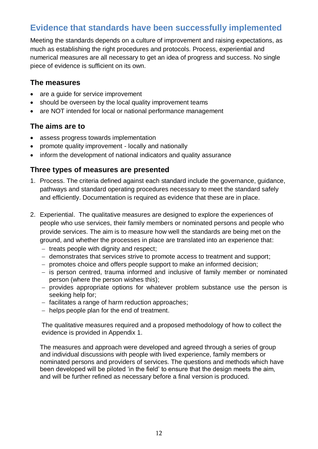## **Evidence that standards have been successfully implemented**

Meeting the standards depends on a culture of improvement and raising expectations, as much as establishing the right procedures and protocols. Process, experiential and numerical measures are all necessary to get an idea of progress and success. No single piece of evidence is sufficient on its own.

#### **The measures**

- are a quide for service improvement
- should be overseen by the local quality improvement teams
- are NOT intended for local or national performance management

#### **The aims are to**

- assess progress towards implementation
- promote quality improvement locally and nationally
- inform the development of national indicators and quality assurance

#### **Three types of measures are presented**

- 1. Process. The criteria defined against each standard include the governance, guidance, pathways and standard operating procedures necessary to meet the standard safely and efficiently. Documentation is required as evidence that these are in place.
- 2. Experiential. The qualitative measures are designed to explore the experiences of people who use services, their family members or nominated persons and people who provide services. The aim is to measure how well the standards are being met on the ground, and whether the processes in place are translated into an experience that:
	- − treats people with dignity and respect;
	- − demonstrates that services strive to promote access to treatment and support;
	- − promotes choice and offers people support to make an informed decision;
	- − is person centred, trauma informed and inclusive of family member or nominated person (where the person wishes this);
	- − provides appropriate options for whatever problem substance use the person is seeking help for;
	- − facilitates a range of harm reduction approaches;
	- − helps people plan for the end of treatment.

The qualitative measures required and a proposed methodology of how to collect the evidence is provided in Appendix 1.

The measures and approach were developed and agreed through a series of group and individual discussions with people with lived experience, family members or nominated persons and providers of services. The questions and methods which have been developed will be piloted 'in the field' to ensure that the design meets the aim, and will be further refined as necessary before a final version is produced.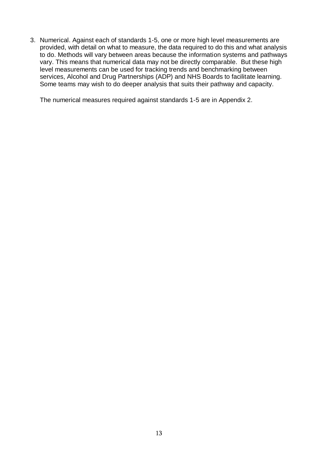3. Numerical. Against each of standards 1-5, one or more high level measurements are provided, with detail on what to measure, the data required to do this and what analysis to do. Methods will vary between areas because the information systems and pathways vary. This means that numerical data may not be directly comparable. But these high level measurements can be used for tracking trends and benchmarking between services, Alcohol and Drug Partnerships (ADP) and NHS Boards to facilitate learning. Some teams may wish to do deeper analysis that suits their pathway and capacity.

The numerical measures required against standards 1-5 are in Appendix 2.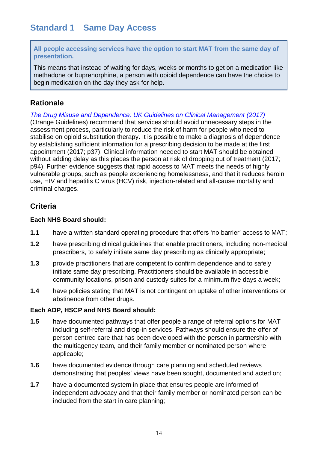<span id="page-14-0"></span>**All people accessing services have the option to start MAT from the same day of presentation.** 

This means that instead of waiting for days, weeks or months to get on a medication like methadone or buprenorphine, a person with opioid dependence can have the choice to begin medication on the day they ask for help.

#### **Rationale**

*[The Drug Misuse and Dependence: UK Guidelines on Clinical Management \(2017\)](https://assets.publishing.service.gov.uk/government/uploads/system/uploads/attachment_data/file/673978/clinical_guidelines_2017.pdf)* (Orange Guidelines) recommend that services should avoid unnecessary steps in the assessment process, particularly to reduce the risk of harm for people who need to stabilise on opioid substitution therapy. It is possible to make a diagnosis of dependence by establishing sufficient information for a prescribing decision to be made at the first appointment (2017; p37). Clinical information needed to start MAT should be obtained without adding delay as this places the person at risk of dropping out of treatment (2017; p94). Further evidence suggests that rapid access to MAT meets the needs of highly vulnerable groups, such as people experiencing homelessness, and that it reduces heroin use, HIV and hepatitis C virus (HCV) risk, injection-related and all-cause mortality and criminal charges.

#### **Criteria**

#### **Each NHS Board should:**

- **1.1** have a written standard operating procedure that offers 'no barrier' access to MAT;
- **1.2** have prescribing clinical guidelines that enable practitioners, including non-medical prescribers, to safely initiate same day prescribing as clinically appropriate;
- **1.3** provide practitioners that are competent to confirm dependence and to safely initiate same day prescribing. Practitioners should be available in accessible community locations, prison and custody suites for a minimum five days a week;
- **1.4** have policies stating that MAT is not contingent on uptake of other interventions or abstinence from other drugs.

#### **Each ADP, HSCP and NHS Board should:**

- **1.5** have documented pathways that offer people a range of referral options for MAT including self-referral and drop-in services. Pathways should ensure the offer of person centred care that has been developed with the person in partnership with the multiagency team, and their family member or nominated person where applicable;
- **1.6** have documented evidence through care planning and scheduled reviews demonstrating that peoples' views have been sought, documented and acted on;
- **1.7** have a documented system in place that ensures people are informed of independent advocacy and that their family member or nominated person can be included from the start in care planning;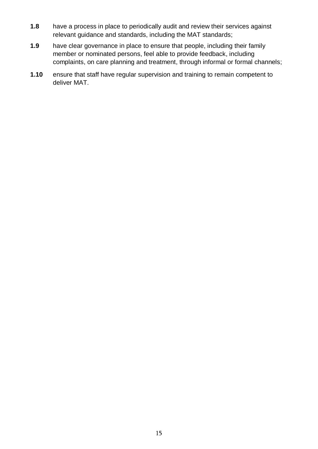- **1.8** have a process in place to periodically audit and review their services against relevant guidance and standards, including the MAT standards;
- **1.9** have clear governance in place to ensure that people, including their family member or nominated persons, feel able to provide feedback, including complaints, on care planning and treatment, through informal or formal channels;
- **1.10** ensure that staff have regular supervision and training to remain competent to deliver MAT.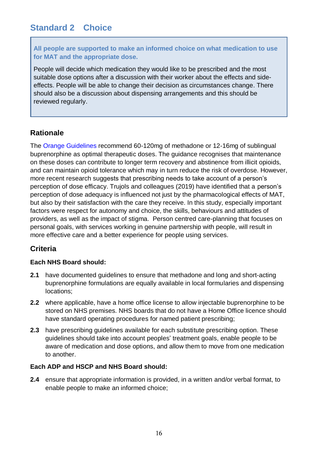## <span id="page-16-0"></span>**Standard 2 Choice**

**All people are supported to make an informed choice on what medication to use for MAT and the appropriate dose.**

People will decide which medication they would like to be prescribed and the most suitable dose options after a discussion with their worker about the effects and sideeffects. People will be able to change their decision as circumstances change. There should also be a discussion about dispensing arrangements and this should be reviewed regularly.

#### **Rationale**

The [Orange Guidelines](https://assets.publishing.service.gov.uk/government/uploads/system/uploads/attachment_data/file/673978/clinical_guidelines_2017.pdf) recommend 60-120mg of methadone or 12-16mg of sublingual buprenorphine as optimal therapeutic doses. The guidance recognises that maintenance on these doses can contribute to longer term recovery and abstinence from illicit opioids, and can maintain opioid tolerance which may in turn reduce the risk of overdose. However, more recent research suggests that prescribing needs to take account of a person's perception of dose efficacy. Trujols and colleagues (2019) have identified that a person's perception of dose adequacy is influenced not just by the pharmacological effects of MAT, but also by their satisfaction with the care they receive. In this study, especially important factors were respect for autonomy and choice, the skills, behaviours and attitudes of providers, as well as the impact of stigma. Person centred care-planning that focuses on personal goals, with services working in genuine partnership with people, will result in more effective care and a better experience for people using services.

#### **Criteria**

#### **Each NHS Board should:**

- **2.1** have documented guidelines to ensure that methadone and long and short-acting buprenorphine formulations are equally available in local formularies and dispensing locations;
- **2.2** where applicable, have a home office license to allow injectable buprenorphine to be stored on NHS premises. NHS boards that do not have a Home Office licence should have standard operating procedures for named patient prescribing;
- **2.3** have prescribing quidelines available for each substitute prescribing option. These guidelines should take into account peoples' treatment goals, enable people to be aware of medication and dose options, and allow them to move from one medication to another.

#### **Each ADP and HSCP and NHS Board should:**

**2.4** ensure that appropriate information is provided, in a written and/or verbal format, to enable people to make an informed choice;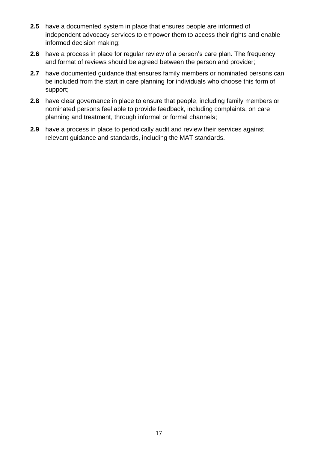- **2.5** have a documented system in place that ensures people are informed of independent advocacy services to empower them to access their rights and enable informed decision making;
- **2.6** have a process in place for regular review of a person's care plan. The frequency and format of reviews should be agreed between the person and provider;
- **2.7** have documented guidance that ensures family members or nominated persons can be included from the start in care planning for individuals who choose this form of support;
- **2.8** have clear governance in place to ensure that people, including family members or nominated persons feel able to provide feedback, including complaints, on care planning and treatment, through informal or formal channels;
- **2.9** have a process in place to periodically audit and review their services against relevant guidance and standards, including the MAT standards.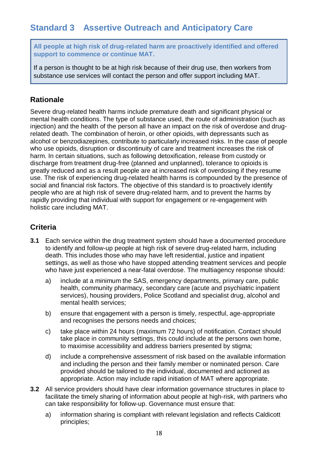<span id="page-18-0"></span>**All people at high risk of drug-related harm are proactively identified and offered support to commence or continue MAT.**

If a person is thought to be at high risk because of their drug use, then workers from substance use services will contact the person and offer support including MAT.

#### **Rationale**

Severe drug-related health harms include premature death and significant physical or mental health conditions. The type of substance used, the route of administration (such as injection) and the health of the person all have an impact on the risk of overdose and drugrelated death. The combination of heroin, or other opioids, with depressants such as alcohol or benzodiazepines, contribute to particularly increased risks. In the case of people who use opioids, disruption or discontinuity of care and treatment increases the risk of harm. In certain situations, such as following detoxification, release from custody or discharge from treatment drug-free (planned and unplanned), tolerance to opioids is greatly reduced and as a result people are at increased risk of overdosing if they resume use. The risk of experiencing drug-related health harms is compounded by the presence of social and financial risk factors. The objective of this standard is to proactively identify people who are at high risk of severe drug-related harm, and to prevent the harms by rapidly providing that individual with support for engagement or re-engagement with holistic care including MAT.

#### **Criteria**

- **3.1** Each service within the drug treatment system should have a documented procedure to identify and follow-up people at high risk of severe drug-related harm, including death. This includes those who may have left residential, justice and inpatient settings, as well as those who have stopped attending treatment services and people who have just experienced a near-fatal overdose. The multiagency response should:
	- a) include at a minimum the SAS, emergency departments, primary care, public health, community pharmacy, secondary care (acute and psychiatric inpatient services), housing providers, Police Scotland and specialist drug, alcohol and mental health services;
	- b) ensure that engagement with a person is timely, respectful, age-appropriate and recognises the persons needs and choices;
	- c) take place within 24 hours (maximum 72 hours) of notification. Contact should take place in community settings, this could include at the persons own home, to maximise accessibility and address barriers presented by stigma;
	- d) include a comprehensive assessment of risk based on the available information and including the person and their family member or nominated person. Care provided should be tailored to the individual, documented and actioned as appropriate. Action may include rapid initiation of MAT where appropriate.
- **3.2** All service providers should have clear information governance structures in place to facilitate the timely sharing of information about people at high-risk, with partners who can take responsibility for follow-up. Governance must ensure that:
	- a) information sharing is compliant with relevant legislation and reflects Caldicott principles;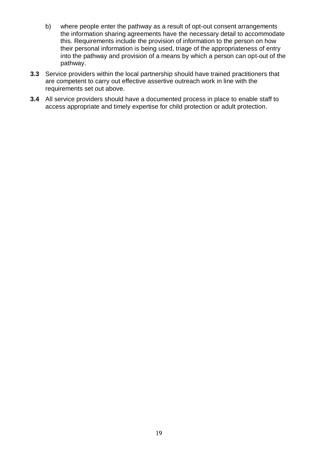- b) where people enter the pathway as a result of opt-out consent arrangements the information sharing agreements have the necessary detail to accommodate this. Requirements include the provision of information to the person on how their personal information is being used, triage of the appropriateness of entry into the pathway and provision of a means by which a person can opt-out of the pathway.
- **3.3** Service providers within the local partnership should have trained practitioners that are competent to carry out effective assertive outreach work in line with the requirements set out above.
- **3.4** All service providers should have a documented process in place to enable staff to access appropriate and timely expertise for child protection or adult protection.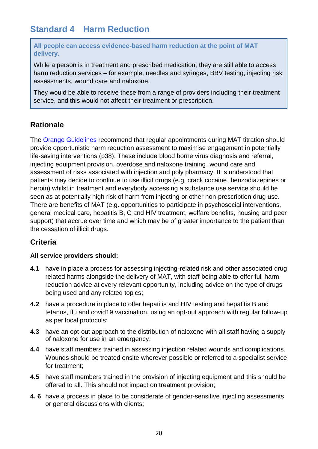## <span id="page-20-0"></span>**Standard 4 Harm Reduction**

**All people can access evidence-based harm reduction at the point of MAT delivery.**

While a person is in treatment and prescribed medication, they are still able to access harm reduction services – for example, needles and syringes, BBV testing, injecting risk assessments, wound care and naloxone.

They would be able to receive these from a range of providers including their treatment service, and this would not affect their treatment or prescription.

#### **Rationale**

The [Orange Guidelines](https://assets.publishing.service.gov.uk/government/uploads/system/uploads/attachment_data/file/673978/clinical_guidelines_2017.pdf) recommend that regular appointments during MAT titration should provide opportunistic harm reduction assessment to maximise engagement in potentially life-saving interventions (p38). These include blood borne virus diagnosis and referral, injecting equipment provision, overdose and naloxone training, wound care and assessment of risks associated with injection and poly pharmacy. It is understood that patients may decide to continue to use illicit drugs (e.g. crack cocaine, benzodiazepines or heroin) whilst in treatment and everybody accessing a substance use service should be seen as at potentially high risk of harm from injecting or other non-prescription drug use. There are benefits of MAT (e.g. opportunities to participate in psychosocial interventions, general medical care, hepatitis B, C and HIV treatment, welfare benefits, housing and peer support) that accrue over time and which may be of greater importance to the patient than the cessation of illicit drugs.

#### **Criteria**

#### **All service providers should:**

- **4.1** have in place a process for assessing injecting-related risk and other associated drug related harms alongside the delivery of MAT, with staff being able to offer full harm reduction advice at every relevant opportunity, including advice on the type of drugs being used and any related topics;
- **4.2** have a procedure in place to offer hepatitis and HIV testing and hepatitis B and tetanus, flu and covid19 vaccination, using an opt-out approach with regular follow-up as per local protocols;
- **4.3** have an opt-out approach to the distribution of naloxone with all staff having a supply of naloxone for use in an emergency;
- **4.4** have staff members trained in assessing injection related wounds and complications. Wounds should be treated onsite wherever possible or referred to a specialist service for treatment;
- **4.5** have staff members trained in the provision of injecting equipment and this should be offered to all. This should not impact on treatment provision;
- **4. 6** have a process in place to be considerate of gender-sensitive injecting assessments or general discussions with clients;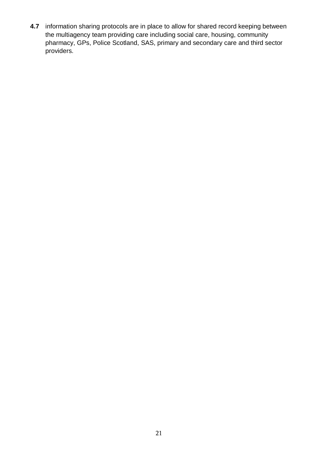**4.7** information sharing protocols are in place to allow for shared record keeping between the multiagency team providing care including social care, housing, community pharmacy, GPs, Police Scotland, SAS, primary and secondary care and third sector providers.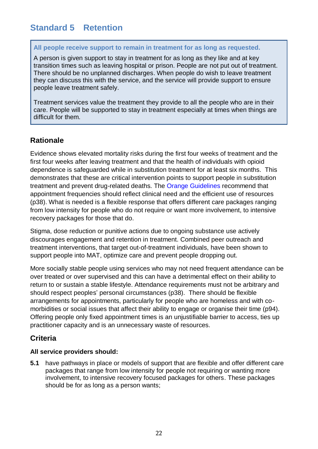## <span id="page-22-0"></span>**Standard 5 Retention**

#### **All people receive support to remain in treatment for as long as requested.**

A person is given support to stay in treatment for as long as they like and at key transition times such as leaving hospital or prison. People are not put out of treatment. There should be no unplanned discharges. When people do wish to leave treatment they can discuss this with the service, and the service will provide support to ensure people leave treatment safely.

Treatment services value the treatment they provide to all the people who are in their care. People will be supported to stay in treatment especially at times when things are difficult for them.

#### **Rationale**

Evidence shows elevated mortality risks during the first four weeks of treatment and the first four weeks after leaving treatment and that the health of individuals with opioid dependence is safeguarded while in substitution treatment for at least six months. This demonstrates that these are critical intervention points to support people in substitution treatment and prevent drug-related deaths. The [Orange Guidelines](https://assets.publishing.service.gov.uk/government/uploads/system/uploads/attachment_data/file/673978/clinical_guidelines_2017.pdf) recommend that appointment frequencies should reflect clinical need and the efficient use of resources (p38). What is needed is a flexible response that offers different care packages ranging from low intensity for people who do not require or want more involvement, to intensive recovery packages for those that do.

Stigma, dose reduction or punitive actions due to ongoing substance use actively discourages engagement and retention in treatment. Combined peer outreach and treatment interventions, that target out-of-treatment individuals, have been shown to support people into MAT, optimize care and prevent people dropping out.

More socially stable people using services who may not need frequent attendance can be over treated or over supervised and this can have a detrimental effect on their ability to return to or sustain a stable lifestyle. Attendance requirements must not be arbitrary and should respect peoples' personal circumstances (p38). There should be flexible arrangements for appointments, particularly for people who are homeless and with comorbidities or social issues that affect their ability to engage or organise their time (p94). Offering people only fixed appointment times is an unjustifiable barrier to access, ties up practitioner capacity and is an unnecessary waste of resources.

#### **Criteria**

#### **All service providers should:**

**5.1** have pathways in place or models of support that are flexible and offer different care packages that range from low intensity for people not requiring or wanting more involvement, to intensive recovery focused packages for others. These packages should be for as long as a person wants;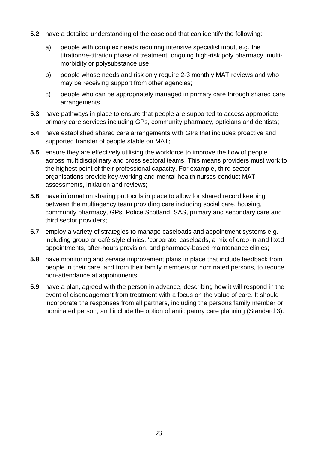- **5.2** have a detailed understanding of the caseload that can identify the following:
	- a) people with complex needs requiring intensive specialist input, e.g. the titration/re-titration phase of treatment, ongoing high-risk poly pharmacy, multimorbidity or polysubstance use;
	- b) people whose needs and risk only require 2-3 monthly MAT reviews and who may be receiving support from other agencies;
	- c) people who can be appropriately managed in primary care through shared care arrangements.
- **5.3** have pathways in place to ensure that people are supported to access appropriate primary care services including GPs, community pharmacy, opticians and dentists;
- **5.4** have established shared care arrangements with GPs that includes proactive and supported transfer of people stable on MAT;
- **5.5** ensure they are effectively utilising the workforce to improve the flow of people across multidisciplinary and cross sectoral teams. This means providers must work to the highest point of their professional capacity. For example, third sector organisations provide key-working and mental health nurses conduct MAT assessments, initiation and reviews;
- **5.6** have information sharing protocols in place to allow for shared record keeping between the multiagency team providing care including social care, housing, community pharmacy, GPs, Police Scotland, SAS, primary and secondary care and third sector providers;
- **5.7** employ a variety of strategies to manage caseloads and appointment systems e.g. including group or café style clinics, 'corporate' caseloads, a mix of drop-in and fixed appointments, after-hours provision, and pharmacy-based maintenance clinics;
- **5.8** have monitoring and service improvement plans in place that include feedback from people in their care, and from their family members or nominated persons, to reduce non-attendance at appointments;
- **5.9** have a plan, agreed with the person in advance, describing how it will respond in the event of disengagement from treatment with a focus on the value of care. It should incorporate the responses from all partners, including the persons family member or nominated person, and include the option of anticipatory care planning (Standard 3).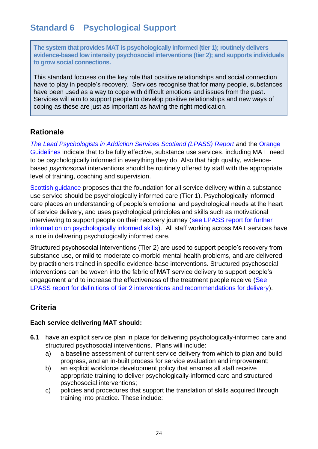## <span id="page-24-0"></span>**Standard 6 Psychological Support**

**The system that provides MAT is psychologically informed (tier 1); routinely delivers evidence-based low intensity psychosocial interventions (tier 2); and supports individuals to grow social connections.**

This standard focuses on the key role that positive relationships and social connection have to play in people's recovery. Services recognise that for many people, substances have been used as a way to cope with difficult emotions and issues from the past. Services will aim to support people to develop positive relationships and new ways of coping as these are just as important as having the right medication.

#### **Rationale**

*[The Lead Psychologists in Addiction Services Scotland \(LPASS\) Report](https://www.gov.scot/publications/delivery-psychological-interventions-substance-misuse-services-scotland-report/pages/4/) a*nd the [Orange](https://assets.publishing.service.gov.uk/government/uploads/system/uploads/attachment_data/file/673978/clinical_guidelines_2017.pdf)  [Guidelines](https://assets.publishing.service.gov.uk/government/uploads/system/uploads/attachment_data/file/673978/clinical_guidelines_2017.pdf) indicate that to be fully effective, substance use services, including MAT, need to be psychologically informed in everything they do. Also that high quality, evidencebased *psychosocial* interventions should be routinely offered by staff with the appropriate level of training, coaching and supervision.

[Scottish guidance](https://www.gov.scot/publications/delivery-psychological-interventions-substance-misuse-services-scotland-report/pages/4/) proposes that the foundation for all service delivery within a substance use service should be psychologically informed care (Tier 1). Psychologically informed care places an understanding of people's emotional and psychological needs at the heart of service delivery, and uses psychological principles and skills such as motivational interviewing to support people on their recovery journey [\(see LPASS report for further](https://www.gov.scot/publications/delivery-psychological-interventions-substance-misuse-services-scotland-report/pages/4/)  [information on psychologically informed skills\).](https://www.gov.scot/publications/delivery-psychological-interventions-substance-misuse-services-scotland-report/pages/4/) All staff working across MAT services have a role in delivering psychologically informed care.

Structured psychosocial interventions (Tier 2) are used to support people's recovery from substance use, or mild to moderate co-morbid mental health problems, and are delivered by practitioners trained in specific evidence-base interventions. Structured psychosocial interventions can be woven into the fabric of MAT service delivery to support people's engagement and to increase the effectiveness of the treatment people receive [\(See](https://www.gov.scot/publications/delivery-psychological-interventions-substance-misuse-services-scotland-report/pages/4/)  [LPASS report for definitions of tier 2 interventions and recommendations for delivery\).](https://www.gov.scot/publications/delivery-psychological-interventions-substance-misuse-services-scotland-report/pages/4/)

### **Criteria**

#### **Each service delivering MAT should:**

- **6.1** have an explicit service plan in place for delivering psychologically-informed care and structured psychosocial interventions. Plans will include:
	- a) a baseline assessment of current service delivery from which to plan and build progress, and an in-built process for service evaluation and improvement;
	- b) an explicit workforce development policy that ensures all staff receive appropriate training to deliver psychologically-informed care and structured psychosocial interventions;
	- c) policies and procedures that support the translation of skills acquired through training into practice. These include: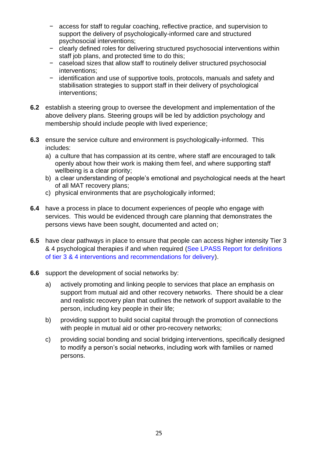- − access for staff to regular coaching, reflective practice, and supervision to support the delivery of psychologically-informed care and structured psychosocial interventions;
- − clearly defined roles for delivering structured psychosocial interventions within staff job plans, and protected time to do this:
- − caseload sizes that allow staff to routinely deliver structured psychosocial interventions;
- − identification and use of supportive tools, protocols, manuals and safety and stabilisation strategies to support staff in their delivery of psychological interventions;
- **6.2** establish a steering group to oversee the development and implementation of the above delivery plans. Steering groups will be led by addiction psychology and membership should include people with lived experience;
- **6.3** ensure the service culture and environment is psychologically-informed. This includes:
	- a) a culture that has compassion at its centre, where staff are encouraged to talk openly about how their work is making them feel, and where supporting staff wellbeing is a clear priority;
	- b) a clear understanding of people's emotional and psychological needs at the heart of all MAT recovery plans;
	- c) physical environments that are psychologically informed;
- **6.4** have a process in place to document experiences of people who engage with services. This would be evidenced through care planning that demonstrates the persons views have been sought, documented and acted on;
- **6.5** have clear pathways in place to ensure that people can access higher intensity Tier 3 & 4 psychological therapies if and when required [\(See LPASS Report for definitions](https://www.gov.scot/publications/delivery-psychological-interventions-substance-misuse-services-scotland-report/pages/4/)  [of tier 3 & 4 interventions and recommendations for delivery\).](https://www.gov.scot/publications/delivery-psychological-interventions-substance-misuse-services-scotland-report/pages/4/)
- **6.6** support the development of social networks by:
	- a) actively promoting and linking people to services that place an emphasis on support from mutual aid and other recovery networks. There should be a clear and realistic recovery plan that outlines the network of support available to the person, including key people in their life;
	- b) providing support to build social capital through the promotion of connections with people in mutual aid or other pro-recovery networks;
	- c) providing social bonding and social bridging interventions, specifically designed to modify a person's social networks, including work with families or named persons.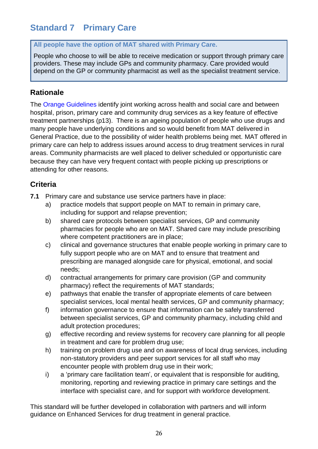## <span id="page-26-0"></span>**Standard 7 Primary Care**

#### **All people have the option of MAT shared with Primary Care.**

People who choose to will be able to receive medication or support through primary care providers. These may include GPs and community pharmacy. Care provided would depend on the GP or community pharmacist as well as the specialist treatment service.

#### **Rationale**

The [Orange Guidelines](https://assets.publishing.service.gov.uk/government/uploads/system/uploads/attachment_data/file/673978/clinical_guidelines_2017.pdf) identify joint working across health and social care and between hospital, prison, primary care and community drug services as a key feature of effective treatment partnerships (p13). There is an ageing population of people who use drugs and many people have underlying conditions and so would benefit from MAT delivered in General Practice, due to the possibility of wider health problems being met. MAT offered in primary care can help to address issues around access to drug treatment services in rural areas. Community pharmacists are well placed to deliver scheduled or opportunistic care because they can have very frequent contact with people picking up prescriptions or attending for other reasons.

#### **Criteria**

- **7.1** Primary care and substance use service partners have in place:
	- a) practice models that support people on MAT to remain in primary care, including for support and relapse prevention;
	- b) shared care protocols between specialist services, GP and community pharmacies for people who are on MAT. Shared care may include prescribing where competent practitioners are in place;
	- c) clinical and governance structures that enable people working in primary care to fully support people who are on MAT and to ensure that treatment and prescribing are managed alongside care for physical, emotional, and social needs;
	- d) contractual arrangements for primary care provision (GP and community pharmacy) reflect the requirements of MAT standards;
	- e) pathways that enable the transfer of appropriate elements of care between specialist services, local mental health services, GP and community pharmacy;
	- f) information governance to ensure that information can be safely transferred between specialist services, GP and community pharmacy, including child and adult protection procedures;
	- g) effective recording and review systems for recovery care planning for all people in treatment and care for problem drug use;
	- h) training on problem drug use and on awareness of local drug services, including non-statutory providers and peer support services for all staff who may encounter people with problem drug use in their work;
	- i) a 'primary care facilitation team', or equivalent that is responsible for auditing, monitoring, reporting and reviewing practice in primary care settings and the interface with specialist care, and for support with workforce development.

This standard will be further developed in collaboration with partners and will inform guidance on Enhanced Services for drug treatment in general practice.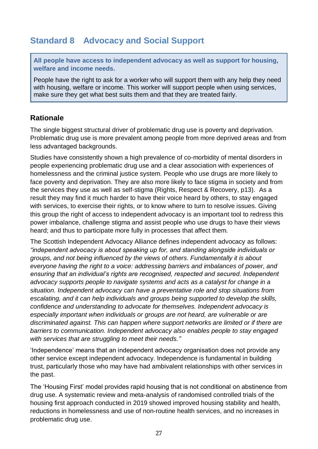## <span id="page-27-0"></span>**Standard 8 Advocacy and Social Support**

**All people have access to independent advocacy as well as support for housing, welfare and income needs.**

People have the right to ask for a worker who will support them with any help they need with housing, welfare or income. This worker will support people when using services, make sure they get what best suits them and that they are treated fairly.

#### **Rationale**

The single biggest structural driver of problematic drug use is poverty and deprivation. Problematic drug use is more prevalent among people from more deprived areas and from less advantaged backgrounds.

Studies have consistently shown a high prevalence of co-morbidity of mental disorders in people experiencing problematic drug use and a clear association with experiences of homelessness and the criminal justice system. People who use drugs are more likely to face poverty and deprivation. They are also more likely to face stigma in society and from the services they use as well as self-stigma (Rights, Respect & Recovery, p13). As a result they may find it much harder to have their voice heard by others, to stay engaged with services, to exercise their rights, or to know where to turn to resolve issues. Giving this group the right of access to independent advocacy is an important tool to redress this power imbalance, challenge stigma and assist people who use drugs to have their views heard; and thus to participate more fully in processes that affect them.

The Scottish Independent Advocacy Alliance defines independent advocacy as follows: *"independent advocacy is about speaking up for, and standing alongside individuals or groups, and not being influenced by the views of others. Fundamentally it is about everyone having the right to a voice: addressing barriers and imbalances of power, and ensuring that an individual's rights are recognised, respected and secured. Independent advocacy supports people to navigate systems and acts as a catalyst for change in a situation. Independent advocacy can have a preventative role and stop situations from escalating, and it can help individuals and groups being supported to develop the skills, confidence and understanding to advocate for themselves. Independent advocacy is especially important when individuals or groups are not heard, are vulnerable or are discriminated against. This can happen where support networks are limited or if there are barriers to communication. Independent advocacy also enables people to stay engaged with services that are struggling to meet their needs."* 

'Independence' means that an independent advocacy organisation does not provide any other service except independent advocacy. Independence is fundamental in building trust, particularly those who may have had ambivalent relationships with other services in the past.

The 'Housing First' model provides rapid housing that is not conditional on abstinence from drug use. A systematic review and meta-analysis of randomised controlled trials of the housing first approach conducted in 2019 showed improved housing stability and health, reductions in homelessness and use of non-routine health services, and no increases in problematic drug use.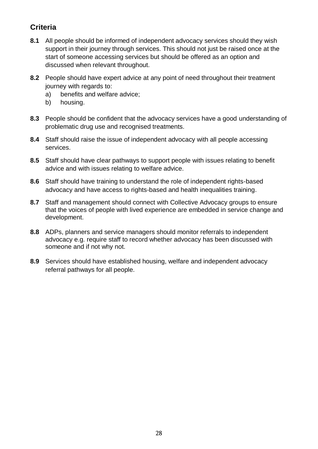## **Criteria**

- **8.1** All people should be informed of independent advocacy services should they wish support in their journey through services. This should not just be raised once at the start of someone accessing services but should be offered as an option and discussed when relevant throughout.
- **8.2** People should have expert advice at any point of need throughout their treatment journey with regards to:
	- a) benefits and welfare advice;
	- b) housing.
- **8.3** People should be confident that the advocacy services have a good understanding of problematic drug use and recognised treatments.
- **8.4** Staff should raise the issue of independent advocacy with all people accessing services.
- **8.5** Staff should have clear pathways to support people with issues relating to benefit advice and with issues relating to welfare advice.
- **8.6** Staff should have training to understand the role of independent rights-based advocacy and have access to rights-based and health inequalities training.
- **8.7** Staff and management should connect with Collective Advocacy groups to ensure that the voices of people with lived experience are embedded in service change and development.
- **8.8** ADPs, planners and service managers should monitor referrals to independent advocacy e.g. require staff to record whether advocacy has been discussed with someone and if not why not.
- **8.9** Services should have established housing, welfare and independent advocacy referral pathways for all people.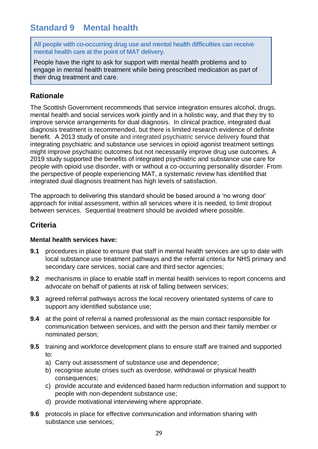## <span id="page-29-0"></span>**Standard 9 Mental health**

**All people with co-occurring drug use and mental health difficulties can receive mental health care at the point of MAT delivery.**

People have the right to ask for support with mental health problems and to engage in mental health treatment while being prescribed medication as part of their drug treatment and care.

#### **Rationale**

The Scottish Government recommends that service integration ensures alcohol, drugs, mental health and social services work jointly and in a holistic way, and that they try to improve service arrangements for dual diagnosis. In clinical practice, integrated dual diagnosis treatment is recommended, but there is limited research evidence of definite benefit. A 2013 study of onsite and integrated psychiatric service delivery found that integrating psychiatric and substance use services in opioid agonist treatment settings might improve psychiatric outcomes but not necessarily improve drug use outcomes. A 2019 study supported the benefits of integrated psychiatric and substance use care for people with opioid use disorder, with or without a co-occurring personality disorder. From the perspective of people experiencing MAT, a systematic review has identified that integrated dual diagnosis treatment has high levels of satisfaction.

The approach to delivering this standard should be based around a 'no wrong door' approach for initial assessment, within all services where it is needed, to limit dropout between services. Sequential treatment should be avoided where possible.

#### **Criteria**

#### **Mental health services have:**

- **9.1** procedures in place to ensure that staff in mental health services are up to date with local substance use treatment pathways and the referral criteria for NHS primary and secondary care services, social care and third sector agencies;
- **9.2** mechanisms in place to enable staff in mental health services to report concerns and advocate on behalf of patients at risk of falling between services;
- **9.3** agreed referral pathways across the local recovery orientated systems of care to support any identified substance use;
- **9.4** at the point of referral a named professional as the main contact responsible for communication between services, and with the person and their family member or nominated person;
- **9.5** training and workforce development plans to ensure staff are trained and supported to:
	- a) Carry out assessment of substance use and dependence;
	- b) recognise acute crises such as overdose, withdrawal or physical health consequences;
	- c) provide accurate and evidenced based harm reduction information and support to people with non-dependent substance use;
	- d) provide motivational interviewing where appropriate.
- **9.6** protocols in place for effective communication and information sharing with substance use services;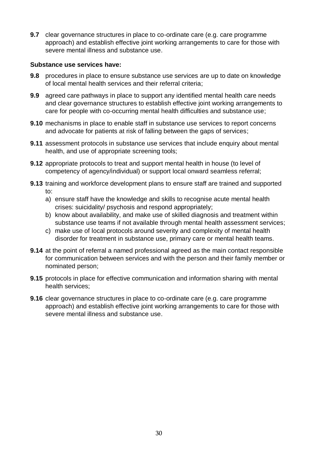**9.7** clear governance structures in place to co-ordinate care (e.g. care programme approach) and establish effective joint working arrangements to care for those with severe mental illness and substance use.

#### **Substance use services have:**

- **9.8** procedures in place to ensure substance use services are up to date on knowledge of local mental health services and their referral criteria;
- **9.9** agreed care pathways in place to support any identified mental health care needs and clear governance structures to establish effective joint working arrangements to care for people with co-occurring mental health difficulties and substance use;
- **9.10** mechanisms in place to enable staff in substance use services to report concerns and advocate for patients at risk of falling between the gaps of services;
- **9.11** assessment protocols in substance use services that include enquiry about mental health, and use of appropriate screening tools;
- **9.12** appropriate protocols to treat and support mental health in house (to level of competency of agency/individual) or support local onward seamless referral;
- **9.13** training and workforce development plans to ensure staff are trained and supported to:
	- a) ensure staff have the knowledge and skills to recognise acute mental health crises: suicidality/ psychosis and respond appropriately;
	- b) know about availability, and make use of skilled diagnosis and treatment within substance use teams if not available through mental health assessment services;
	- c) make use of local protocols around severity and complexity of mental health disorder for treatment in substance use, primary care or mental health teams.
- **9.14** at the point of referral a named professional agreed as the main contact responsible for communication between services and with the person and their family member or nominated person;
- **9.15** protocols in place for effective communication and information sharing with mental health services;
- **9.16** clear governance structures in place to co-ordinate care (e.g. care programme approach) and establish effective joint working arrangements to care for those with severe mental illness and substance use.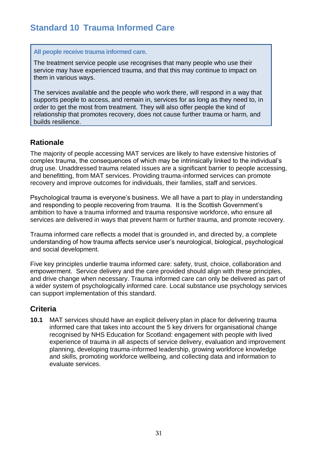## <span id="page-31-0"></span>**Standard 10 Trauma Informed Care**

#### **All people receive trauma informed care.**

The treatment service people use recognises that many people who use their service may have experienced trauma, and that this may continue to impact on them in various ways.

The services available and the people who work there, will respond in a way that supports people to access, and remain in, services for as long as they need to, in order to get the most from treatment. They will also offer people the kind of relationship that promotes recovery, does not cause further trauma or harm, and builds resilience.

#### **Rationale**

The majority of people accessing MAT services are likely to have extensive histories of complex trauma, the consequences of which may be intrinsically linked to the individual's drug use. Unaddressed trauma related issues are a significant barrier to people accessing, and benefitting, from MAT services. Providing trauma-informed services can promote recovery and improve outcomes for individuals, their families, staff and services.

Psychological trauma is everyone's business. We all have a part to play in understanding and responding to people recovering from trauma. It is the Scottish Government's ambition to have a trauma informed and trauma responsive workforce, who ensure all services are delivered in ways that prevent harm or further trauma, and promote recovery.

Trauma informed care reflects a model that is grounded in, and directed by, a complete understanding of how trauma affects service user's neurological, biological, psychological and social development.

Five key principles underlie trauma informed care: safety, trust, choice, collaboration and empowerment. Service delivery and the care provided should align with these principles, and drive change when necessary. Trauma informed care can only be delivered as part of a wider system of psychologically informed care. Local substance use psychology services can support implementation of this standard.

#### **Criteria**

**10.1** MAT services should have an explicit delivery plan in place for delivering trauma informed care that takes into account the 5 key drivers for organisational change recognised by NHS Education for Scotland: engagement with people with lived experience of trauma in all aspects of service delivery, evaluation and improvement planning, developing trauma-informed leadership, growing workforce knowledge and skills, promoting workforce wellbeing, and collecting data and information to evaluate services.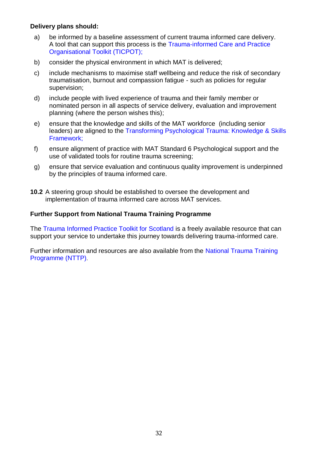#### **Delivery plans should:**

- a) be informed by a baseline assessment of current trauma informed care delivery. A tool that can support this process is the [Trauma-informed Care and Practice](https://www.mhcc.org.au/resource/ticpot-stage-1-2-3/)  [Organisational Toolkit \(TICPOT\);](https://www.mhcc.org.au/resource/ticpot-stage-1-2-3/)
- b) consider the physical environment in which MAT is delivered;
- c) include mechanisms to maximise staff wellbeing and reduce the risk of secondary traumatisation, burnout and compassion fatigue - such as policies for regular supervision;
- d) include people with lived experience of trauma and their family member or nominated person in all aspects of service delivery, evaluation and improvement planning (where the person wishes this);
- e) ensure that the knowledge and skills of the MAT workforce (including senior leaders) are aligned to the [Transforming Psychological Trauma: Knowledge & Skills](https://transformingpsychologicaltrauma.scot/media/x54hw43l/nationaltraumatrainingframework.pdf)  [Framework;](https://transformingpsychologicaltrauma.scot/media/x54hw43l/nationaltraumatrainingframework.pdf)
- f) ensure alignment of practice with MAT Standard 6 Psychological support and the use of validated tools for routine trauma screening;
- g) ensure that service evaluation and continuous quality improvement is underpinned by the principles of trauma informed care.
- **10.2** A steering group should be established to oversee the development and implementation of trauma informed care across MAT services.

#### **Further Support from National Trauma Training Programme**

The [Trauma Informed Practice Toolkit for Scotland](https://www.gov.scot/publications/trauma-informed-practice-toolkit-scotland/) is a freely available resource that can support your service to undertake this journey towards delivering trauma-informed care.

Further information and resources are also available from the [National Trauma Training](https://transformingpsychologicaltrauma.scot/)  [Programme](https://transformingpsychologicaltrauma.scot/) (NTTP).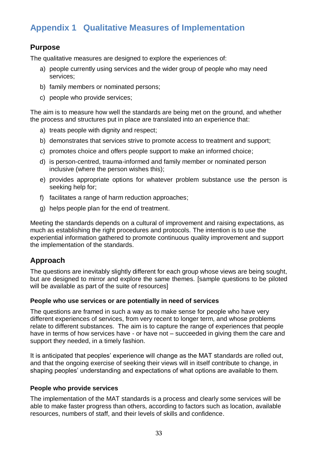## <span id="page-33-0"></span>**Appendix 1 Qualitative Measures of Implementation**

#### **Purpose**

The qualitative measures are designed to explore the experiences of:

- a) people currently using services and the wider group of people who may need services;
- b) family members or nominated persons;
- c) people who provide services;

The aim is to measure how well the standards are being met on the ground, and whether the process and structures put in place are translated into an experience that:

- a) treats people with dignity and respect;
- b) demonstrates that services strive to promote access to treatment and support;
- c) promotes choice and offers people support to make an informed choice;
- d) is person-centred, trauma-informed and family member or nominated person inclusive (where the person wishes this);
- e) provides appropriate options for whatever problem substance use the person is seeking help for;
- f) facilitates a range of harm reduction approaches;
- g) helps people plan for the end of treatment.

Meeting the standards depends on a cultural of improvement and raising expectations, as much as establishing the right procedures and protocols. The intention is to use the experiential information gathered to promote continuous quality improvement and support the implementation of the standards.

#### **Approach**

The questions are inevitably slightly different for each group whose views are being sought, but are designed to mirror and explore the same themes. [sample questions to be piloted will be available as part of the suite of resources]

#### **People who use services or are potentially in need of services**

The questions are framed in such a way as to make sense for people who have very different experiences of services, from very recent to longer term, and whose problems relate to different substances. The aim is to capture the range of experiences that people have in terms of how services have - or have not – succeeded in giving them the care and support they needed, in a timely fashion.

It is anticipated that peoples' experience will change as the MAT standards are rolled out, and that the ongoing exercise of seeking their views will in itself contribute to change, in shaping peoples' understanding and expectations of what options are available to them.

#### **People who provide services**

The implementation of the MAT standards is a process and clearly some services will be able to make faster progress than others, according to factors such as location, available resources, numbers of staff, and their levels of skills and confidence.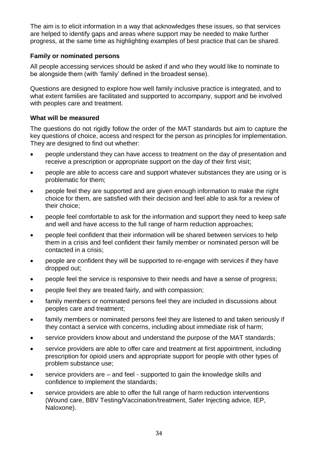The aim is to elicit information in a way that acknowledges these issues, so that services are helped to identify gaps and areas where support may be needed to make further progress, at the same time as highlighting examples of best practice that can be shared.

#### **Family or nominated persons**

All people accessing services should be asked if and who they would like to nominate to be alongside them (with 'family' defined in the broadest sense).

Questions are designed to explore how well family inclusive practice is integrated, and to what extent families are facilitated and supported to accompany, support and be involved with peoples care and treatment.

#### **What will be measured**

The questions do not rigidly follow the order of the MAT standards but aim to capture the key questions of choice, access and respect for the person as principles for implementation. They are designed to find out whether:

- people understand they can have access to treatment on the day of presentation and receive a prescription or appropriate support on the day of their first visit;
- people are able to access care and support whatever substances they are using or is problematic for them;
- people feel they are supported and are given enough information to make the right choice for them, are satisfied with their decision and feel able to ask for a review of their choice;
- people feel comfortable to ask for the information and support they need to keep safe and well and have access to the full range of harm reduction approaches;
- people feel confident that their information will be shared between services to help them in a crisis and feel confident their family member or nominated person will be contacted in a crisis;
- people are confident they will be supported to re-engage with services if they have dropped out;
- people feel the service is responsive to their needs and have a sense of progress;
- people feel they are treated fairly, and with compassion;
- family members or nominated persons feel they are included in discussions about peoples care and treatment;
- family members or nominated persons feel they are listened to and taken seriously if they contact a service with concerns, including about immediate risk of harm;
- service providers know about and understand the purpose of the MAT standards;
- service providers are able to offer care and treatment at first appointment, including prescription for opioid users and appropriate support for people with other types of problem substance use;
- service providers are and feel supported to gain the knowledge skills and confidence to implement the standards;
- service providers are able to offer the full range of harm reduction interventions (Wound care, BBV Testing/Vaccination/treatment, Safer Injecting advice, IEP, Naloxone).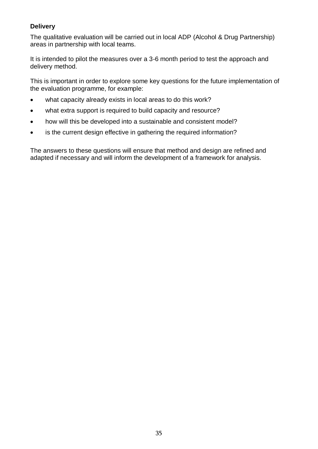#### **Delivery**

The qualitative evaluation will be carried out in local ADP (Alcohol & Drug Partnership) areas in partnership with local teams.

It is intended to pilot the measures over a 3-6 month period to test the approach and delivery method.

This is important in order to explore some key questions for the future implementation of the evaluation programme, for example:

- what capacity already exists in local areas to do this work?
- what extra support is required to build capacity and resource?
- how will this be developed into a sustainable and consistent model?
- is the current design effective in gathering the required information?

The answers to these questions will ensure that method and design are refined and adapted if necessary and will inform the development of a framework for analysis.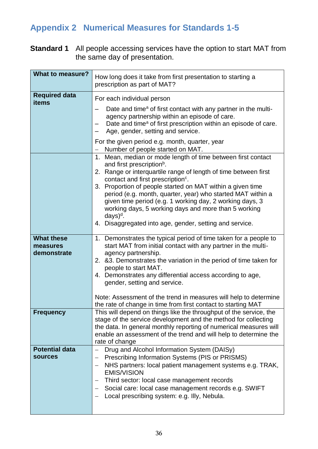## <span id="page-36-0"></span>**Appendix 2 Numerical Measures for Standards 1-5**

**Standard 1** All people accessing services have the option to start MAT from the same day of presentation.

| <b>What to measure?</b>                      | How long does it take from first presentation to starting a<br>prescription as part of MAT?                                                                                                                                                                                                                                                                                                                                                                                                                                                             |
|----------------------------------------------|---------------------------------------------------------------------------------------------------------------------------------------------------------------------------------------------------------------------------------------------------------------------------------------------------------------------------------------------------------------------------------------------------------------------------------------------------------------------------------------------------------------------------------------------------------|
| <b>Required data</b><br>items                | For each individual person<br>Date and time <sup>a</sup> of first contact with any partner in the multi-<br>agency partnership within an episode of care.<br>Date and time <sup>a</sup> of first prescription within an episode of care.<br>Age, gender, setting and service.                                                                                                                                                                                                                                                                           |
|                                              | For the given period e.g. month, quarter, year<br>Number of people started on MAT.                                                                                                                                                                                                                                                                                                                                                                                                                                                                      |
|                                              | Mean, median or mode length of time between first contact<br>1.<br>and first prescription <sup>b</sup> .<br>2. Range or interquartile range of length of time between first<br>contact and first prescription <sup>c</sup> .<br>3. Proportion of people started on MAT within a given time<br>period (e.g. month, quarter, year) who started MAT within a<br>given time period (e.g. 1 working day, 2 working days, 3<br>working days, 5 working days and more than 5 working<br>$days)^d$ .<br>4. Disaggregated into age, gender, setting and service. |
| <b>What these</b><br>measures<br>demonstrate | 1. Demonstrates the typical period of time taken for a people to<br>start MAT from initial contact with any partner in the multi-<br>agency partnership.<br>2. & 3. Demonstrates the variation in the period of time taken for<br>people to start MAT.<br>4. Demonstrates any differential access according to age,<br>gender, setting and service.<br>Note: Assessment of the trend in measures will help to determine<br>the rate of change in time from first contact to starting MAT                                                                |
| <b>Frequency</b>                             | This will depend on things like the throughput of the service, the<br>stage of the service development and the method for collecting<br>the data. In general monthly reporting of numerical measures will<br>enable an assessment of the trend and will help to determine the<br>rate of change                                                                                                                                                                                                                                                         |
| <b>Potential data</b><br><b>sources</b>      | Drug and Alcohol Information System (DAISy)<br>Prescribing Information Systems (PIS or PRISMS)<br>NHS partners: local patient management systems e.g. TRAK,<br><b>EMIS/VISION</b><br>Third sector: local case management records<br>—<br>Social care: local case management records e.g. SWIFT<br>Local prescribing system: e.g. Illy, Nebula.                                                                                                                                                                                                          |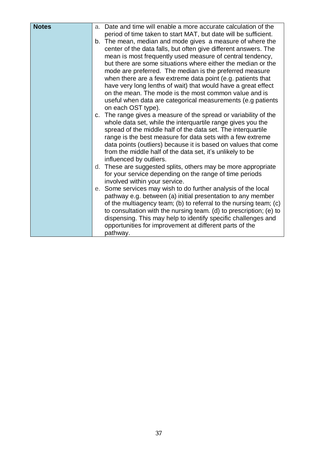| <b>Notes</b> | a. Date and time will enable a more accurate calculation of the<br>period of time taken to start MAT, but date will be sufficient.<br>b. The mean, median and mode gives a measure of where the<br>center of the data falls, but often give different answers. The<br>mean is most frequently used measure of central tendency,<br>but there are some situations where either the median or the<br>mode are preferred. The median is the preferred measure<br>when there are a few extreme data point (e.g. patients that<br>have very long lenths of wait) that would have a great effect<br>on the mean. The mode is the most common value and is<br>useful when data are categorical measurements (e.g patients<br>on each OST type). |
|--------------|------------------------------------------------------------------------------------------------------------------------------------------------------------------------------------------------------------------------------------------------------------------------------------------------------------------------------------------------------------------------------------------------------------------------------------------------------------------------------------------------------------------------------------------------------------------------------------------------------------------------------------------------------------------------------------------------------------------------------------------|
|              | c. The range gives a measure of the spread or variability of the<br>whole data set, while the interquartile range gives you the<br>spread of the middle half of the data set. The interquartile<br>range is the best measure for data sets with a few extreme<br>data points (outliers) because it is based on values that come<br>from the middle half of the data set, it's unlikely to be<br>influenced by outliers.                                                                                                                                                                                                                                                                                                                  |
|              | d. These are suggested splits, others may be more appropriate<br>for your service depending on the range of time periods<br>involved within your service.                                                                                                                                                                                                                                                                                                                                                                                                                                                                                                                                                                                |
|              | e. Some services may wish to do further analysis of the local<br>pathway e.g. between (a) initial presentation to any member<br>of the multiagency team; (b) to referral to the nursing team; (c)<br>to consultation with the nursing team. (d) to prescription; (e) to<br>dispensing. This may help to identify specific challenges and<br>opportunities for improvement at different parts of the<br>pathway.                                                                                                                                                                                                                                                                                                                          |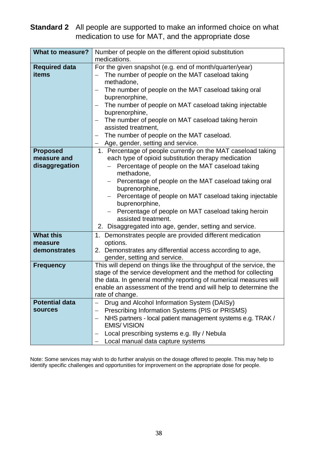## **Standard 2** All people are supported to make an informed choice on what medication to use for MAT, and the appropriate dose

| <b>What to measure?</b> | Number of people on the different opioid substitution                     |
|-------------------------|---------------------------------------------------------------------------|
|                         | medications.                                                              |
| <b>Required data</b>    | For the given snapshot (e.g. end of month/quarter/year)                   |
| items                   | The number of people on the MAT caseload taking                           |
|                         | methadone,                                                                |
|                         | The number of people on the MAT caseload taking oral<br>—                 |
|                         | buprenorphine,                                                            |
|                         | The number of people on MAT caseload taking injectable<br>—               |
|                         | buprenorphine,                                                            |
|                         | The number of people on MAT caseload taking heroin<br>—                   |
|                         | assisted treatment,                                                       |
|                         | The number of people on the MAT caseload.<br>-                            |
|                         | Age, gender, setting and service.                                         |
| <b>Proposed</b>         | 1. Percentage of people currently on the MAT caseload taking              |
| measure and             | each type of opioid substitution therapy medication                       |
| disaggregation          | Percentage of people on the MAT caseload taking                           |
|                         | methadone,                                                                |
|                         | Percentage of people on the MAT caseload taking oral                      |
|                         | buprenorphine,                                                            |
|                         | Percentage of people on MAT caseload taking injectable<br>buprenorphine,  |
|                         |                                                                           |
|                         | Percentage of people on MAT caseload taking heroin<br>assisted treatment. |
|                         | 2. Disaggregated into age, gender, setting and service.                   |
| <b>What this</b>        |                                                                           |
| measure                 | 1. Demonstrates people are provided different medication<br>options.      |
| demonstrates            | 2. Demonstrates any differential access according to age,                 |
|                         | gender, setting and service.                                              |
| <b>Frequency</b>        | This will depend on things like the throughput of the service, the        |
|                         | stage of the service development and the method for collecting            |
|                         | the data. In general monthly reporting of numerical measures will         |
|                         | enable an assessment of the trend and will help to determine the          |
|                         | rate of change.                                                           |
| <b>Potential data</b>   | Drug and Alcohol Information System (DAISy)                               |
| <b>sources</b>          | Prescribing Information Systems (PIS or PRISMS)                           |
|                         | NHS partners - local patient management systems e.g. TRAK /               |
|                         | <b>EMIS/VISION</b>                                                        |
|                         | Local prescribing systems e.g. Illy / Nebula                              |
|                         | Local manual data capture systems                                         |

Note: Some services may wish to do further analysis on the dosage offered to people. This may help to identify specific challenges and opportunities for improvement on the appropriate dose for people.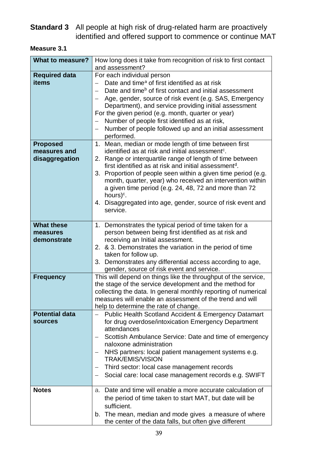## **Standard 3** All people at high risk of drug-related harm are proactively identified and offered support to commence or continue MAT

| <b>Measure 3.1</b> |
|--------------------|
|--------------------|

| <b>What to measure?</b> | How long does it take from recognition of risk to first contact                                                                |
|-------------------------|--------------------------------------------------------------------------------------------------------------------------------|
|                         | and assessment?                                                                                                                |
| <b>Required data</b>    | For each individual person                                                                                                     |
| items                   | Date and time <sup>a</sup> of first identified as at risk                                                                      |
|                         | Date and time <sup>b</sup> of first contact and initial assessment                                                             |
|                         | Age, gender, source of risk event (e.g. SAS, Emergency                                                                         |
|                         | Department), and service providing initial assessment                                                                          |
|                         | For the given period (e.g. month, quarter or year)                                                                             |
|                         | Number of people first identified as at risk,                                                                                  |
|                         | Number of people followed up and an initial assessment                                                                         |
|                         | performed.                                                                                                                     |
| <b>Proposed</b>         | 1. Mean, median or mode length of time between first                                                                           |
| measures and            | identified as at risk and initial assessment <sup>c</sup> .                                                                    |
| disaggregation          | 2. Range or interquartile range of length of time between<br>first identified as at risk and initial assessment <sup>d</sup> . |
|                         | 3. Proportion of people seen within a given time period (e.g.                                                                  |
|                         | month, quarter, year) who received an intervention within                                                                      |
|                         | a given time period (e.g. 24, 48, 72 and more than 72                                                                          |
|                         | hours) <sup>c</sup> .                                                                                                          |
|                         | 4. Disaggregated into age, gender, source of risk event and                                                                    |
|                         | service.                                                                                                                       |
|                         |                                                                                                                                |
| <b>What these</b>       | 1. Demonstrates the typical period of time taken for a                                                                         |
| measures<br>demonstrate | person between being first identified as at risk and<br>receiving an Initial assessment.                                       |
|                         | 2. & 3. Demonstrates the variation in the period of time                                                                       |
|                         | taken for follow up.                                                                                                           |
|                         | 3. Demonstrates any differential access according to age,                                                                      |
|                         | gender, source of risk event and service.                                                                                      |
| <b>Frequency</b>        | This will depend on things like the throughput of the service,                                                                 |
|                         | the stage of the service development and the method for                                                                        |
|                         | collecting the data. In general monthly reporting of numerical                                                                 |
|                         | measures will enable an assessment of the trend and will                                                                       |
|                         | help to determine the rate of change.                                                                                          |
| <b>Potential data</b>   | <b>Public Health Scotland Accident &amp; Emergency Datamart</b>                                                                |
| <b>sources</b>          | for drug overdose/intoxication Emergency Department                                                                            |
|                         | attendances                                                                                                                    |
|                         | Scottish Ambulance Service: Date and time of emergency                                                                         |
|                         | naloxone administration                                                                                                        |
|                         | NHS partners: local patient management systems e.g.<br><b>TRAK/EMIS/VISION</b>                                                 |
|                         | Third sector: local case management records                                                                                    |
|                         | Social care: local case management records e.g. SWIFT                                                                          |
| <b>Notes</b>            | a. Date and time will enable a more accurate calculation of                                                                    |
|                         | the period of time taken to start MAT, but date will be                                                                        |
|                         | sufficient.                                                                                                                    |
|                         | b. The mean, median and mode gives a measure of where                                                                          |
|                         | the center of the data falls, but often give different                                                                         |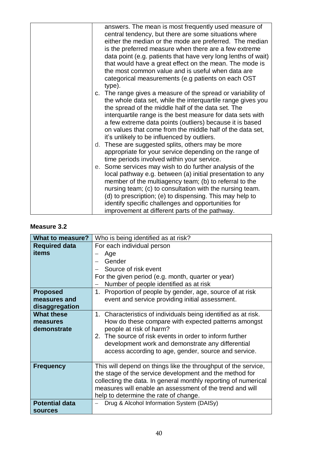| answers. The mean is most frequently used measure of<br>central tendency, but there are some situations where<br>either the median or the mode are preferred. The median<br>is the preferred measure when there are a few extreme<br>data point (e.g. patients that have very long lenths of wait)<br>that would have a great effect on the mean. The mode is<br>the most common value and is useful when data are<br>categorical measurements (e.g patients on each OST<br>type).                                                                                                   |
|--------------------------------------------------------------------------------------------------------------------------------------------------------------------------------------------------------------------------------------------------------------------------------------------------------------------------------------------------------------------------------------------------------------------------------------------------------------------------------------------------------------------------------------------------------------------------------------|
| c. The range gives a measure of the spread or variability of<br>the whole data set, while the interquartile range gives you<br>the spread of the middle half of the data set. The<br>interquartile range is the best measure for data sets with<br>a few extreme data points (outliers) because it is based<br>on values that come from the middle half of the data set,<br>it's unlikely to be influenced by outliers.<br>d. These are suggested splits, others may be more<br>appropriate for your service depending on the range of<br>time periods involved within your service. |
| e. Some services may wish to do further analysis of the<br>local pathway e.g. between (a) initial presentation to any<br>member of the multiagency team; (b) to referral to the<br>nursing team; (c) to consultation with the nursing team.<br>(d) to prescription; (e) to dispensing. This may help to<br>identify specific challenges and opportunities for<br>improvement at different parts of the pathway.                                                                                                                                                                      |

#### **Measure 3.2**

| What to measure?      | Who is being identified as at risk?                            |
|-----------------------|----------------------------------------------------------------|
| <b>Required data</b>  | For each individual person                                     |
| items                 | Age                                                            |
|                       | Gender                                                         |
|                       | Source of risk event                                           |
|                       | For the given period (e.g. month, quarter or year)             |
|                       | Number of people identified as at risk                         |
| <b>Proposed</b>       | Proportion of people by gender, age, source of at risk<br>1.   |
| measures and          | event and service providing initial assessment.                |
| disaggregation        |                                                                |
| <b>What these</b>     | 1. Characteristics of individuals being identified as at risk. |
| measures              | How do these compare with expected patterns amongst            |
| demonstrate           | people at risk of harm?                                        |
|                       | 2. The source of risk events in order to inform further        |
|                       | development work and demonstrate any differential              |
|                       | access according to age, gender, source and service.           |
|                       |                                                                |
| <b>Frequency</b>      | This will depend on things like the throughput of the service, |
|                       | the stage of the service development and the method for        |
|                       | collecting the data. In general monthly reporting of numerical |
|                       | measures will enable an assessment of the trend and will       |
|                       | help to determine the rate of change.                          |
| <b>Potential data</b> | Drug & Alcohol Information System (DAISy)                      |
| <b>sources</b>        |                                                                |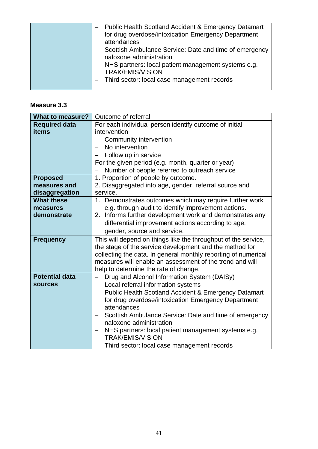|  | - Public Health Scotland Accident & Emergency Datamart<br>for drug overdose/intoxication Emergency Department<br>attendances<br>Scottish Ambulance Service: Date and time of emergency<br>naloxone administration<br>- NHS partners: local patient management systems e.g.<br><b>TRAK/EMIS/VISION</b><br>- Third sector: local case management records |
|--|--------------------------------------------------------------------------------------------------------------------------------------------------------------------------------------------------------------------------------------------------------------------------------------------------------------------------------------------------------|
|--|--------------------------------------------------------------------------------------------------------------------------------------------------------------------------------------------------------------------------------------------------------------------------------------------------------------------------------------------------------|

#### **Measure 3.3**

| <b>What to measure?</b> | Outcome of referral                                             |
|-------------------------|-----------------------------------------------------------------|
| <b>Required data</b>    | For each individual person identify outcome of initial          |
| items                   | intervention                                                    |
|                         | <b>Community intervention</b>                                   |
|                         | No intervention                                                 |
|                         | Follow up in service                                            |
|                         | For the given period (e.g. month, quarter or year)              |
|                         | Number of people referred to outreach service                   |
| <b>Proposed</b>         | 1. Proportion of people by outcome.                             |
| measures and            | 2. Disaggregated into age, gender, referral source and          |
| disaggregation          | service.                                                        |
| <b>What these</b>       | 1. Demonstrates outcomes which may require further work         |
| measures                | e.g. through audit to identify improvement actions.             |
| demonstrate             | 2. Informs further development work and demonstrates any        |
|                         | differential improvement actions according to age,              |
|                         | gender, source and service.                                     |
| <b>Frequency</b>        | This will depend on things like the throughput of the service,  |
|                         | the stage of the service development and the method for         |
|                         | collecting the data. In general monthly reporting of numerical  |
|                         | measures will enable an assessment of the trend and will        |
|                         | help to determine the rate of change.                           |
| <b>Potential data</b>   | Drug and Alcohol Information System (DAISy)                     |
| <b>sources</b>          | Local referral information systems                              |
|                         | <b>Public Health Scotland Accident &amp; Emergency Datamart</b> |
|                         | for drug overdose/intoxication Emergency Department             |
|                         | attendances                                                     |
|                         | Scottish Ambulance Service: Date and time of emergency          |
|                         | naloxone administration                                         |
|                         | NHS partners: local patient management systems e.g.             |
|                         | <b>TRAK/EMIS/VISION</b>                                         |
|                         | Third sector: local case management records                     |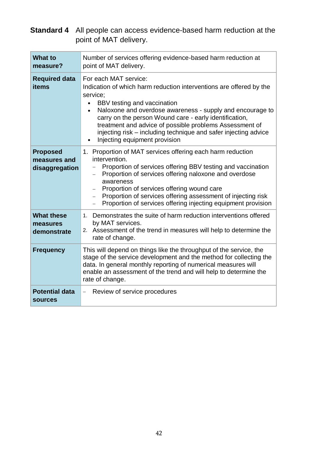**Standard 4** All people can access evidence-based harm reduction at the point of MAT delivery.

| <b>What to</b><br>measure?                        | Number of services offering evidence-based harm reduction at<br>point of MAT delivery.                                                                                                                                                                                                                                                                                                                                                                  |
|---------------------------------------------------|---------------------------------------------------------------------------------------------------------------------------------------------------------------------------------------------------------------------------------------------------------------------------------------------------------------------------------------------------------------------------------------------------------------------------------------------------------|
| <b>Required data</b><br>items                     | For each MAT service:<br>Indication of which harm reduction interventions are offered by the<br>service;<br>BBV testing and vaccination<br>Naloxone and overdose awareness - supply and encourage to<br>$\bullet$<br>carry on the person Wound care - early identification,<br>treatment and advice of possible problems Assessment of<br>injecting risk – including technique and safer injecting advice<br>Injecting equipment provision              |
| <b>Proposed</b><br>measures and<br>disaggregation | 1. Proportion of MAT services offering each harm reduction<br>intervention.<br>Proportion of services offering BBV testing and vaccination<br>Proportion of services offering naloxone and overdose<br>awareness<br>Proportion of services offering wound care<br>$\overline{\phantom{0}}$<br>Proportion of services offering assessment of injecting risk<br>$\overline{\phantom{0}}$<br>Proportion of services offering injecting equipment provision |
| <b>What these</b><br>measures<br>demonstrate      | 1. Demonstrates the suite of harm reduction interventions offered<br>by MAT services.<br>2. Assessment of the trend in measures will help to determine the<br>rate of change.                                                                                                                                                                                                                                                                           |
| <b>Frequency</b>                                  | This will depend on things like the throughput of the service, the<br>stage of the service development and the method for collecting the<br>data. In general monthly reporting of numerical measures will<br>enable an assessment of the trend and will help to determine the<br>rate of change.                                                                                                                                                        |
| <b>Potential data</b><br><b>sources</b>           | Review of service procedures<br>$\qquad \qquad -$                                                                                                                                                                                                                                                                                                                                                                                                       |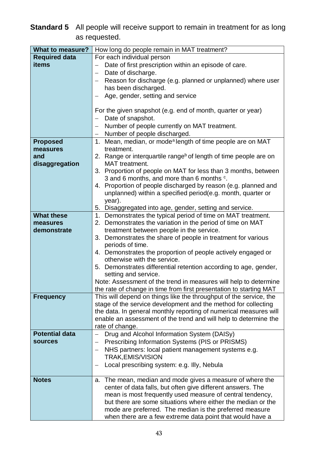## **Standard 5** All people will receive support to remain in treatment for as long as requested.

| <b>What to measure?</b> | How long do people remain in MAT treatment?                                         |
|-------------------------|-------------------------------------------------------------------------------------|
| <b>Required data</b>    | For each individual person                                                          |
| items                   | Date of first prescription within an episode of care.                               |
|                         | Date of discharge.<br>—                                                             |
|                         | Reason for discharge (e.g. planned or unplanned) where user                         |
|                         | has been discharged.                                                                |
|                         | Age, gender, setting and service                                                    |
|                         |                                                                                     |
|                         | For the given snapshot (e.g. end of month, quarter or year)                         |
|                         | Date of snapshot.                                                                   |
|                         | Number of people currently on MAT treatment.                                        |
|                         | Number of people discharged.<br>—                                                   |
| <b>Proposed</b>         | Mean, median, or mode <sup>a</sup> length of time people are on MAT<br>1.           |
| measures                | treatment.                                                                          |
| and                     | 2. Range or interquartile range <sup>b</sup> of length of time people are on        |
| disaggregation          | MAT treatment.                                                                      |
|                         | 3. Proportion of people on MAT for less than 3 months, between                      |
|                         | 3 and 6 months, and more than 6 months °.                                           |
|                         | 4. Proportion of people discharged by reason (e.g. planned and                      |
|                         | unplanned) within a specified period(e.g. month, quarter or                         |
|                         | year).<br>5. Disaggregated into age, gender, setting and service.                   |
| <b>What these</b>       | 1. Demonstrates the typical period of time on MAT treatment.                        |
| measures                | 2. Demonstrates the variation in the period of time on MAT                          |
| demonstrate             | treatment between people in the service.                                            |
|                         | 3. Demonstrates the share of people in treatment for various                        |
|                         | periods of time.                                                                    |
|                         | 4. Demonstrates the proportion of people actively engaged or                        |
|                         | otherwise with the service.                                                         |
|                         | 5. Demonstrates differential retention according to age, gender,                    |
|                         | setting and service.                                                                |
|                         | Note: Assessment of the trend in measures will help to determine                    |
|                         | the rate of change in time from first presentation to starting MAT                  |
| <b>Frequency</b>        | This will depend on things like the throughput of the service, the                  |
|                         | stage of the service development and the method for collecting                      |
|                         | the data. In general monthly reporting of numerical measures will                   |
|                         | enable an assessment of the trend and will help to determine the<br>rate of change. |
| <b>Potential data</b>   | Drug and Alcohol Information System (DAISy)                                         |
| <b>sources</b>          | Prescribing Information Systems (PIS or PRISMS)<br>—                                |
|                         | NHS partners: local patient management systems e.g.                                 |
|                         | <b>TRAK, EMIS/VISION</b>                                                            |
|                         | Local prescribing system: e.g. Illy, Nebula                                         |
|                         |                                                                                     |
| <b>Notes</b>            | The mean, median and mode gives a measure of where the<br>a.                        |
|                         | center of data falls, but often give different answers. The                         |
|                         | mean is most frequently used measure of central tendency,                           |
|                         | but there are some situations where either the median or the                        |
|                         | mode are preferred. The median is the preferred measure                             |
|                         | when there are a few extreme data point that would have a                           |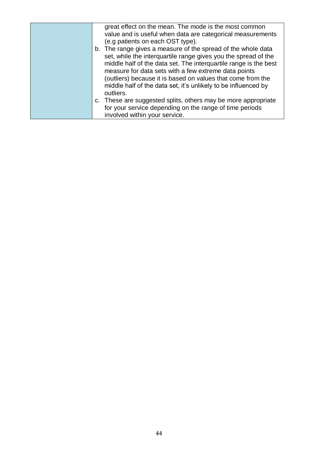| great effect on the mean. The mode is the most common<br>value and is useful when data are categorical measurements<br>(e.g patients on each OST type).                                                                                                                                                                                                                                                  |
|----------------------------------------------------------------------------------------------------------------------------------------------------------------------------------------------------------------------------------------------------------------------------------------------------------------------------------------------------------------------------------------------------------|
| b. The range gives a measure of the spread of the whole data<br>set, while the interguartile range gives you the spread of the<br>middle half of the data set. The interquartile range is the best<br>measure for data sets with a few extreme data points<br>(outliers) because it is based on values that come from the<br>middle half of the data set, it's unlikely to be influenced by<br>outliers. |
| c. These are suggested splits, others may be more appropriate<br>for your service depending on the range of time periods<br>involved within your service.                                                                                                                                                                                                                                                |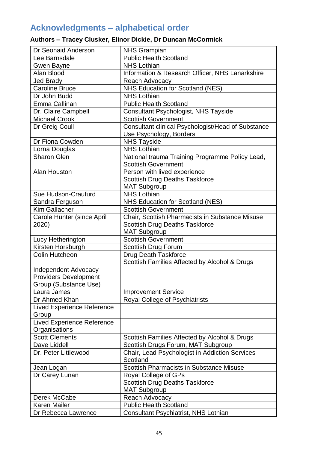## <span id="page-45-0"></span>**Acknowledgments – alphabetical order**

## **Authors – Tracey Clusker, Elinor Dickie, Dr Duncan McCormick**

| Dr Seonaid Anderson               | <b>NHS Grampian</b>                                |
|-----------------------------------|----------------------------------------------------|
| Lee Barnsdale                     | <b>Public Health Scotland</b>                      |
| <b>Gwen Bayne</b>                 | <b>NHS Lothian</b>                                 |
| Alan Blood                        | Information & Research Officer, NHS Lanarkshire    |
| <b>Jed Brady</b>                  | Reach Advocacy                                     |
| <b>Caroline Bruce</b>             | <b>NHS Education for Scotland (NES)</b>            |
| Dr John Budd                      | <b>NHS Lothian</b>                                 |
| Emma Callinan                     | <b>Public Health Scotland</b>                      |
| Dr. Claire Campbell               | Consultant Psychologist, NHS Tayside               |
| <b>Michael Crook</b>              | <b>Scottish Government</b>                         |
| Dr Greig Coull                    | Consultant clinical Psychologist/Head of Substance |
|                                   | Use Psychology, Borders                            |
| Dr Fiona Cowden                   | <b>NHS Tayside</b>                                 |
| Lorna Douglas                     | <b>NHS Lothian</b>                                 |
| <b>Sharon Glen</b>                | National trauma Training Programme Policy Lead,    |
|                                   | <b>Scottish Government</b>                         |
| Alan Houston                      | Person with lived experience                       |
|                                   | <b>Scottish Drug Deaths Taskforce</b>              |
|                                   | <b>MAT Subgroup</b>                                |
| Sue Hudson-Craufurd               | <b>NHS Lothian</b>                                 |
| Sandra Ferguson                   | NHS Education for Scotland (NES)                   |
| Kim Gallacher                     | <b>Scottish Government</b>                         |
| Carole Hunter (since April        | Chair, Scottish Pharmacists in Substance Misuse    |
| 2020)                             | <b>Scottish Drug Deaths Taskforce</b>              |
|                                   | <b>MAT Subgroup</b>                                |
| Lucy Hetherington                 | <b>Scottish Government</b>                         |
| Kirsten Horsburgh                 | Scottish Drug Forum                                |
| <b>Colin Hutcheon</b>             | <b>Drug Death Taskforce</b>                        |
|                                   | Scottish Families Affected by Alcohol & Drugs      |
| <b>Independent Advocacy</b>       |                                                    |
| <b>Providers Development</b>      |                                                    |
| Group (Substance Use)             |                                                    |
| Laura James                       | <b>Improvement Service</b>                         |
| Dr Ahmed Khan                     | Royal College of Psychiatrists                     |
| <b>Lived Experience Reference</b> |                                                    |
| Group                             |                                                    |
| <b>Lived Experience Reference</b> |                                                    |
| Organisations                     |                                                    |
| <b>Scott Clements</b>             | Scottish Families Affected by Alcohol & Drugs      |
| Dave Liddell                      | Scottish Drugs Forum, MAT Subgroup                 |
| Dr. Peter Littlewood              | Chair, Lead Psychologist in Addiction Services     |
|                                   | Scotland                                           |
| Jean Logan                        | <b>Scottish Pharmacists in Substance Misuse</b>    |
| Dr Carey Lunan                    | Royal College of GPs                               |
|                                   | Scottish Drug Deaths Taskforce                     |
| Derek McCabe                      | <b>MAT Subgroup</b><br><b>Reach Advocacy</b>       |
| <b>Karen Mailer</b>               | <b>Public Health Scotland</b>                      |
|                                   |                                                    |
| Dr Rebecca Lawrence               | Consultant Psychiatrist, NHS Lothian               |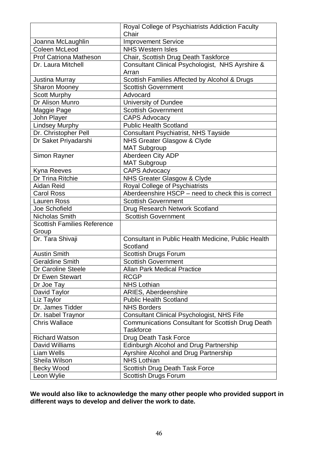| Chair<br><b>Improvement Service</b><br>Joanna McLaughlin<br>Coleen McLeod<br><b>NHS Western Isles</b> |  |
|-------------------------------------------------------------------------------------------------------|--|
|                                                                                                       |  |
|                                                                                                       |  |
|                                                                                                       |  |
| <b>Prof Catriona Matheson</b><br>Chair, Scottish Drug Death Taskforce                                 |  |
| Consultant Clinical Psychologist, NHS Ayrshire &<br>Dr. Laura Mitchell                                |  |
| Arran                                                                                                 |  |
| Scottish Families Affected by Alcohol & Drugs<br><b>Justina Murray</b>                                |  |
| <b>Sharon Mooney</b><br><b>Scottish Government</b>                                                    |  |
| <b>Scott Murphy</b><br>Advocard                                                                       |  |
| Dr Alison Munro<br>University of Dundee                                                               |  |
| <b>Maggie Page</b><br><b>Scottish Government</b>                                                      |  |
| John Player<br><b>CAPS Advocacy</b>                                                                   |  |
| <b>Lindsey Murphy</b><br><b>Public Health Scotland</b>                                                |  |
| Dr. Christopher Pell<br><b>Consultant Psychiatrist, NHS Tayside</b>                                   |  |
| NHS Greater Glasgow & Clyde<br>Dr Saket Priyadarshi                                                   |  |
| <b>MAT Subgroup</b>                                                                                   |  |
| Aberdeen City ADP<br>Simon Rayner                                                                     |  |
| <b>MAT Subgroup</b>                                                                                   |  |
| <b>CAPS Advocacy</b><br>Kyna Reeves                                                                   |  |
| NHS Greater Glasgow & Clyde<br>Dr Trina Ritchie                                                       |  |
| Royal College of Psychiatrists<br>Aidan Reid                                                          |  |
| Aberdeenshire HSCP - need to check this is correct<br><b>Carol Ross</b>                               |  |
| <b>Scottish Government</b><br><b>Lauren Ross</b>                                                      |  |
| Joe Schofield<br>Drug Research Network Scotland                                                       |  |
| Nicholas Smith<br><b>Scottish Government</b>                                                          |  |
| <b>Scottish Families Reference</b>                                                                    |  |
| Group                                                                                                 |  |
| Dr. Tara Shivaji<br>Consultant in Public Health Medicine, Public Health                               |  |
| Scotland                                                                                              |  |
| <b>Austin Smith</b><br><b>Scottish Drugs Forum</b>                                                    |  |
| <b>Geraldine Smith</b><br><b>Scottish Government</b>                                                  |  |
| Dr Caroline Steele<br><b>Allan Park Medical Practice</b>                                              |  |
| Dr Ewen Stewart<br><b>RCGP</b>                                                                        |  |
| <b>NHS Lothian</b><br>Dr Joe Tay                                                                      |  |
| <b>ARIES, Aberdeenshire</b><br>David Taylor                                                           |  |
| Liz Taylor<br><b>Public Health Scotland</b>                                                           |  |
| Dr. James Tidder<br><b>NHS Borders</b>                                                                |  |
| <b>Consultant Clinical Psychologist, NHS Fife</b><br>Dr. Isabel Traynor                               |  |
| <b>Chris Wallace</b><br><b>Communications Consultant for Scottish Drug Death</b>                      |  |
| <b>Taskforce</b>                                                                                      |  |
| <b>Richard Watson</b><br>Drug Death Task Force                                                        |  |
| David Williams<br>Edinburgh Alcohol and Drug Partnership                                              |  |
| Ayrshire Alcohol and Drug Partnership<br>Liam Wells                                                   |  |
| <b>NHS Lothian</b><br>Sheila Wilson                                                                   |  |
| <b>Becky Wood</b><br>Scottish Drug Death Task Force                                                   |  |
| Leon Wylie<br>Scottish Drugs Forum                                                                    |  |

**We would also like to acknowledge the many other people who provided support in different ways to develop and deliver the work to date.**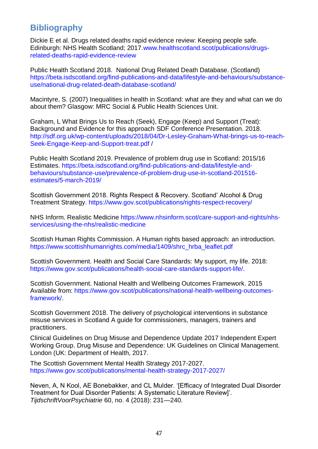## <span id="page-47-0"></span>**Bibliography**

Dickie E et al. Drugs related deaths rapid evidence review: Keeping people safe. Edinburgh: NHS Health Scotland; 2017[.www.healthscotland.scot/publications/drugs](http://www.healthscotland.scot/publications/drugs-related-deaths-rapid-evidence-review)[related-deaths-rapid-evidence-review](http://www.healthscotland.scot/publications/drugs-related-deaths-rapid-evidence-review)

Public Health Scotland 2018. National Drug Related Death Database. (Scotland) [https://beta.isdscotland.org/find-publications-and-data/lifestyle-and-behaviours/substance](https://beta.isdscotland.org/find-publications-and-data/lifestyle-and-behaviours/substance-use/national-drug-related-death-database-scotland/)[use/national-drug-related-death-database-scotland/](https://beta.isdscotland.org/find-publications-and-data/lifestyle-and-behaviours/substance-use/national-drug-related-death-database-scotland/)

Macintyre, S. (2007) Inequalities in health in Scotland: what are they and what can we do about them? Glasgow: MRC Social & Public Health Sciences Unit.

Graham, L What Brings Us to Reach (Seek), Engage (Keep) and Support (Treat): Background and Evidence for this approach SDF Conference Presentation. 2018. [http://sdf.org.uk/wp-content/uploads/2018/04/Dr-Lesley-Graham-What-brings-us-to-reach-](http://sdf.org.uk/wp-content/uploads/2018/04/Dr-Lesley-Graham-What-brings-us-to-reach-Seek-Engage-Keep-and-Support-treat.pdf)[Seek-Engage-Keep-and-Support-treat.pdf](http://sdf.org.uk/wp-content/uploads/2018/04/Dr-Lesley-Graham-What-brings-us-to-reach-Seek-Engage-Keep-and-Support-treat.pdf) /

Public Health Scotland 2019. Prevalence of problem drug use in Scotland: 2015/16 Estimates. [https://beta.isdscotland.org/find-publications-and-data/lifestyle-and](https://beta.isdscotland.org/find-publications-and-data/lifestyle-and-behaviours/substance-use/prevalence-of-problem-drug-use-in-scotland-201516-estimates/5-march-2019/)[behaviours/substance-use/prevalence-of-problem-drug-use-in-scotland-201516](https://beta.isdscotland.org/find-publications-and-data/lifestyle-and-behaviours/substance-use/prevalence-of-problem-drug-use-in-scotland-201516-estimates/5-march-2019/) [estimates/5-march-2019/](https://beta.isdscotland.org/find-publications-and-data/lifestyle-and-behaviours/substance-use/prevalence-of-problem-drug-use-in-scotland-201516-estimates/5-march-2019/)

Scottish Government 2018. Rights Respect & Recovery. Scotland' Alcohol & Drug Treatment Strategy.<https://www.gov.scot/publications/rights-respect-recovery/>

NHS Inform. Realistic Medicine [https://www.nhsinform.scot/care-support-and-rights/nhs](https://www.nhsinform.scot/care-support-and-rights/nhs-services/using-the-nhs/realistic-medicine)[services/using-the-nhs/realistic-medicine](https://www.nhsinform.scot/care-support-and-rights/nhs-services/using-the-nhs/realistic-medicine)

Scottish Human Rights Commission. A Human rights based approach: an introduction. [https://www.scottishhumanrights.com/media/1409/shrc\\_hrba\\_leaflet.pdf](https://www.scottishhumanrights.com/media/1409/shrc_hrba_leaflet.pdf)

Scottish Government. Health and Social Care Standards: My support, my life. 2018: [https://www.gov.scot/publications/health-social-care-standards-support-life/.](https://www.gov.scot/publications/health-social-care-standards-support-life/)

Scottish Government. National Health and Wellbeing Outcomes Framework. 2015 Available from: [https://www.gov.scot/publications/national-health-wellbeing-outcomes](https://www.gov.scot/publications/national-health-wellbeing-outcomes-framework/)[framework/.](https://www.gov.scot/publications/national-health-wellbeing-outcomes-framework/)

Scottish Government 2018. The delivery of psychological interventions in substance misuse services in Scotland A guide for commissioners, managers, trainers and practitioners.

Clinical Guidelines on Drug Misuse and Dependence Update 2017 Independent Expert Working Group. Drug Misuse and Dependence: UK Guidelines on Clinical Management. London (UK: Department of Health, 2017.

The Scottish Government Mental Health Strategy 2017-2027. <https://www.gov.scot/publications/mental-health-strategy-2017-2027/>

Neven, A, N Kool, AE Bonebakker, and CL Mulder. '[Efficacy of Integrated Dual Disorder Treatment for Dual Disorder Patients: A Systematic Literature Review]'. *TijdschriftVoorPsychiatrie* 60, no. 4 (2018): 231—240.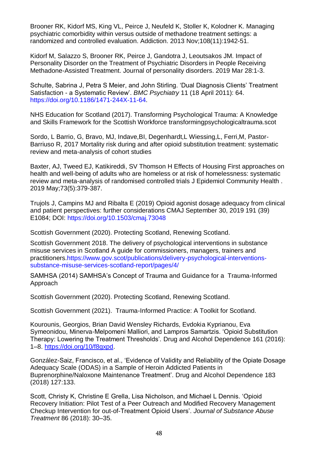Brooner RK, Kidorf MS, King VL, Peirce J, Neufeld K, Stoller K, Kolodner K. Managing psychiatric comorbidity within versus outside of methadone treatment settings: a randomized and controlled evaluation. Addiction. 2013 Nov;108(11):1942-51.

Kidorf M, Salazzo S, Brooner RK, Peirce J, Gandotra J, Leoutsakos JM. Impact of Personality Disorder on the Treatment of Psychiatric Disorders in People Receiving Methadone-Assisted Treatment. Journal of personality disorders. 2019 Mar 28:1-3.

Schulte, Sabrina J, Petra S Meier, and John Stirling. 'Dual Diagnosis Clients' Treatment Satisfaction - a Systematic Review'. *BMC Psychiatry* 11 (18 April 2011): 64. [https://doi.org/10.1186/1471-244X-11-64.](https://doi.org/10.1186/1471-244X-11-64)

NHS Education for Scotland (2017). Transforming Psychological Trauma: A Knowledge and Skills Framework for the Scottish Workforce transformingpsychologicaltrauma.scot

Sordo, L Barrio, G, Bravo, MJ, Indave,BI, Degenhardt,L Wiessing,L, Ferri,M, Pastor-Barriuso R, 2017 Mortality risk during and after opioid substitution treatment: systematic review and meta-analysis of cohort studies

Baxter, AJ, Tweed EJ, Katikireddi, SV Thomson H Effects of Housing First approaches on health and well-being of adults who are homeless or at risk of homelessness: systematic review and meta-analysis of randomised controlled trials J Epidemiol Community Health . 2019 May;73(5):379-387.

Trujols J, Campins MJ and Ribalta E (2019) Opioid agonist dosage adequacy from clinical and patient perspectives: further considerations CMAJ September 30, 2019 191 (39) E1084; DOI:<https://doi.org/10.1503/cmaj.73048>

Scottish Government (2020). Protecting Scotland, Renewing Scotland.

Scottish Government 2018. The delivery of psychological interventions in substance misuse services in Scotland A guide for commissioners, managers, trainers and practitioners[.https://www.gov.scot/publications/delivery-psychological-interventions](https://www.gov.scot/publications/delivery-psychological-interventions-substance-misuse-services-scotland-report/pages/4/)[substance-misuse-services-scotland-report/pages/4/](https://www.gov.scot/publications/delivery-psychological-interventions-substance-misuse-services-scotland-report/pages/4/)

SAMHSA (2014) SAMHSA's Concept of Trauma and Guidance for a Trauma-Informed Approach

Scottish Government (2020). Protecting Scotland, Renewing Scotland.

Scottish Government (2021). Trauma-Informed Practice: A Toolkit for Scotland.

Kourounis, Georgios, Brian David Wensley Richards, Evdokia Kyprianou, Eva Symeonidou, Minerva-Melpomeni Malliori, and Lampros Samartzis. 'Opioid Substitution Therapy: Lowering the Treatment Thresholds'. Drug and Alcohol Dependence 161 (2016): 1–8. [https://doi.org/10/f8gxpd.](https://doi.org/10/f8gxpd)

González-Saiz, Francisco, et al., 'Evidence of Validity and Reliability of the Opiate Dosage Adequacy Scale (ODAS) in a Sample of Heroin Addicted Patients in Buprenorphine/Naloxone Maintenance Treatment'. Drug and Alcohol Dependence 183 (2018) 127:133.

Scott, Christy K, Christine E Grella, Lisa Nicholson, and Michael L Dennis. 'Opioid Recovery Initiation: Pilot Test of a Peer Outreach and Modified Recovery Management Checkup Intervention for out-of-Treatment Opioid Users'. *Journal of Substance Abuse Treatment* 86 (2018): 30–35.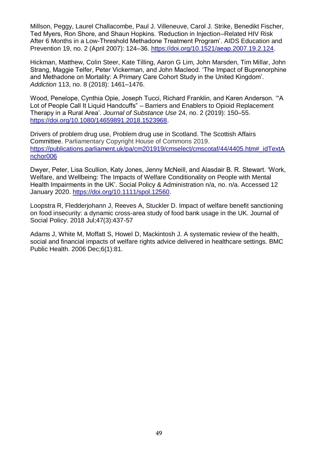Millson, Peggy, Laurel Challacombe, Paul J. Villeneuve, Carol J. Strike, Benedikt Fischer, Ted Myers, Ron Shore, and Shaun Hopkins. 'Reduction in Injection–Related HIV Risk After 6 Months in a Low-Threshold Methadone Treatment Program'. AIDS Education and Prevention 19, no. 2 (April 2007): 124–36. [https://doi.org/10.1521/aeap.2007.19.2.124.](https://doi.org/10.1521/aeap.2007.19.2.124)

Hickman, Matthew, Colin Steer, Kate Tilling, Aaron G Lim, John Marsden, Tim Millar, John Strang, Maggie Telfer, Peter Vickerman, and John Macleod. 'The Impact of Buprenorphine and Methadone on Mortality: A Primary Care Cohort Study in the United Kingdom'. *Addiction* 113, no. 8 (2018): 1461–1476.

Wood, Penelope, Cynthia Opie, Joseph Tucci, Richard Franklin, and Karen Anderson. '"A Lot of People Call It Liquid Handcuffs" – Barriers and Enablers to Opioid Replacement Therapy in a Rural Area'. *Journal of Substance Use* 24, no. 2 (2019): 150–55. [https://doi.org/10.1080/14659891.2018.1523968.](https://doi.org/10.1080/14659891.2018.1523968)

Drivers of problem drug use, Problem drug use in Scotland. The Scottish Affairs Committee. Parliamentary Copyright House of Commons 2019. [https://publications.parliament.uk/pa/cm201919/cmselect/cmscotaf/44/4405.htm#\\_idTextA](https://publications.parliament.uk/pa/cm201919/cmselect/cmscotaf/44/4405.htm#_idTextAnchor006) [nchor006](https://publications.parliament.uk/pa/cm201919/cmselect/cmscotaf/44/4405.htm#_idTextAnchor006)

Dwyer, Peter, Lisa Scullion, Katy Jones, Jenny McNeill, and Alasdair B. R. Stewart. 'Work, Welfare, and Wellbeing: The Impacts of Welfare Conditionality on People with Mental Health Impairments in the UK'. Social Policy & Administration n/a, no. n/a. Accessed 12 January 2020. [https://doi.org/10.1111/spol.12560.](https://doi.org/10.1111/spol.12560)

Loopstra R, Fledderjohann J, Reeves A, Stuckler D. Impact of welfare benefit sanctioning on food insecurity: a dynamic cross-area study of food bank usage in the UK. Journal of Social Policy. 2018 Jul;47(3):437-57

Adams J, White M, Moffatt S, Howel D, Mackintosh J. A systematic review of the health, social and financial impacts of welfare rights advice delivered in healthcare settings. BMC Public Health. 2006 Dec;6(1):81.